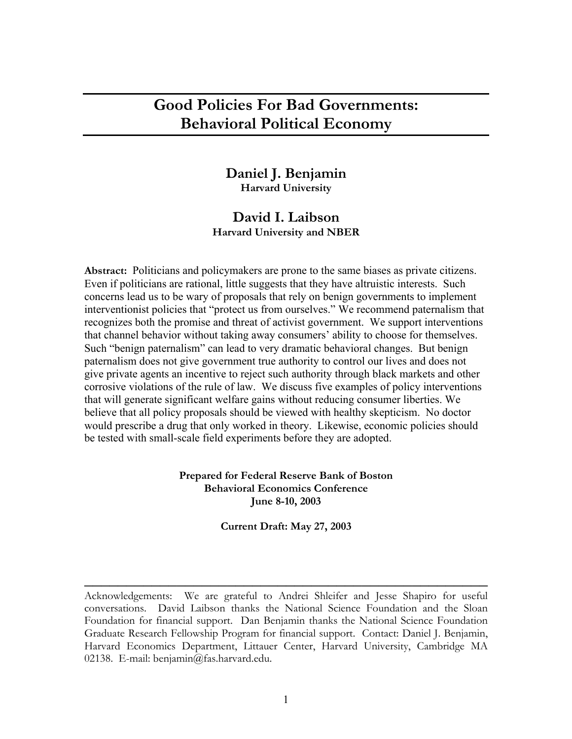# **Good Policies For Bad Governments: Behavioral Political Economy**

# **Daniel J. Benjamin Harvard University**

# **David I. Laibson Harvard University and NBER**

**Abstract:** Politicians and policymakers are prone to the same biases as private citizens. Even if politicians are rational, little suggests that they have altruistic interests. Such concerns lead us to be wary of proposals that rely on benign governments to implement interventionist policies that "protect us from ourselves." We recommend paternalism that recognizes both the promise and threat of activist government. We support interventions that channel behavior without taking away consumers' ability to choose for themselves. Such "benign paternalism" can lead to very dramatic behavioral changes. But benign paternalism does not give government true authority to control our lives and does not give private agents an incentive to reject such authority through black markets and other corrosive violations of the rule of law. We discuss five examples of policy interventions that will generate significant welfare gains without reducing consumer liberties. We believe that all policy proposals should be viewed with healthy skepticism. No doctor would prescribe a drug that only worked in theory. Likewise, economic policies should be tested with small-scale field experiments before they are adopted.

> **Prepared for Federal Reserve Bank of Boston Behavioral Economics Conference June 8-10, 2003**

> > **Current Draft: May 27, 2003**

Acknowledgements: We are grateful to Andrei Shleifer and Jesse Shapiro for useful conversations. David Laibson thanks the National Science Foundation and the Sloan Foundation for financial support. Dan Benjamin thanks the National Science Foundation Graduate Research Fellowship Program for financial support. Contact: Daniel J. Benjamin, Harvard Economics Department, Littauer Center, Harvard University, Cambridge MA 02138. E-mail: benjamin@fas.harvard.edu.

 $\overline{\phantom{a}}$  , and the contract of the contract of the contract of the contract of the contract of the contract of the contract of the contract of the contract of the contract of the contract of the contract of the contrac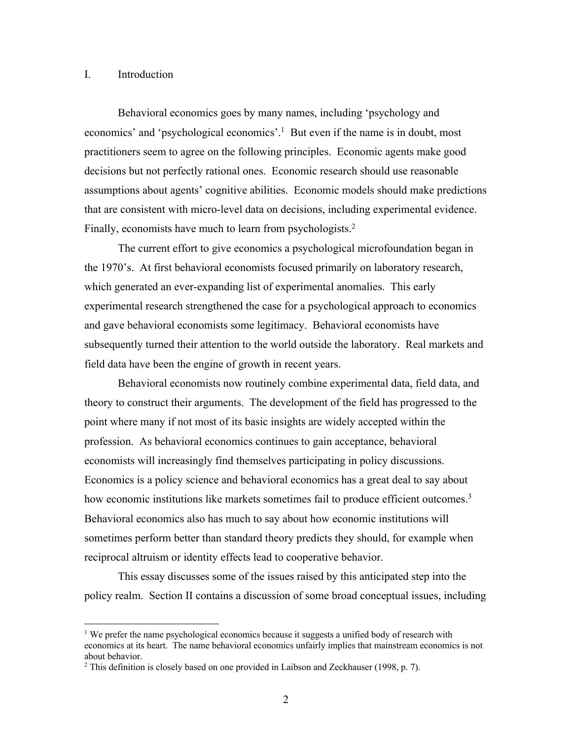### I. Introduction

Behavioral economics goes by many names, including 'psychology and economics' and 'psychological economics'.1 But even if the name is in doubt, most practitioners seem to agree on the following principles. Economic agents make good decisions but not perfectly rational ones. Economic research should use reasonable assumptions about agents' cognitive abilities. Economic models should make predictions that are consistent with micro-level data on decisions, including experimental evidence. Finally, economists have much to learn from psychologists.<sup>2</sup>

The current effort to give economics a psychological microfoundation began in the 1970's. At first behavioral economists focused primarily on laboratory research, which generated an ever-expanding list of experimental anomalies. This early experimental research strengthened the case for a psychological approach to economics and gave behavioral economists some legitimacy. Behavioral economists have subsequently turned their attention to the world outside the laboratory. Real markets and field data have been the engine of growth in recent years.

Behavioral economists now routinely combine experimental data, field data, and theory to construct their arguments. The development of the field has progressed to the point where many if not most of its basic insights are widely accepted within the profession. As behavioral economics continues to gain acceptance, behavioral economists will increasingly find themselves participating in policy discussions. Economics is a policy science and behavioral economics has a great deal to say about how economic institutions like markets sometimes fail to produce efficient outcomes.<sup>3</sup> Behavioral economics also has much to say about how economic institutions will sometimes perform better than standard theory predicts they should, for example when reciprocal altruism or identity effects lead to cooperative behavior.

This essay discusses some of the issues raised by this anticipated step into the policy realm. Section II contains a discussion of some broad conceptual issues, including

<sup>&</sup>lt;sup>1</sup> We prefer the name psychological economics because it suggests a unified body of research with economics at its heart. The name behavioral economics unfairly implies that mainstream economics is not about behavior.

<sup>2</sup> This definition is closely based on one provided in Laibson and Zeckhauser (1998, p. 7).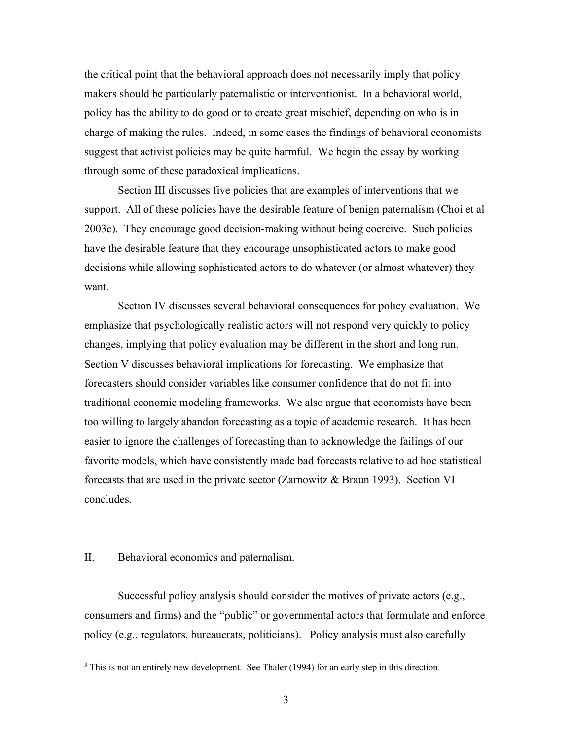the critical point that the behavioral approach does not necessarily imply that policy makers should be particularly paternalistic or interventionist. In a behavioral world, policy has the ability to do good or to create great mischief, depending on who is in charge of making the rules. Indeed, in some cases the findings of behavioral economists suggest that activist policies may be quite harmful. We begin the essay by working through some of these paradoxical implications.

Section III discusses five policies that are examples of interventions that we support. All of these policies have the desirable feature of benign paternalism (Choi et al 2003c). They encourage good decision-making without being coercive. Such policies have the desirable feature that they encourage unsophisticated actors to make good decisions while allowing sophisticated actors to do whatever (or almost whatever) they want.

Section IV discusses several behavioral consequences for policy evaluation. We emphasize that psychologically realistic actors will not respond very quickly to policy changes, implying that policy evaluation may be different in the short and long run. Section V discusses behavioral implications for forecasting. We emphasize that forecasters should consider variables like consumer confidence that do not fit into traditional economic modeling frameworks. We also argue that economists have been too willing to largely abandon forecasting as a topic of academic research. It has been easier to ignore the challenges of forecasting than to acknowledge the failings of our favorite models, which have consistently made bad forecasts relative to ad hoc statistical forecasts that are used in the private sector (Zarnowitz & Braun 1993). Section VI concludes.

## II. Behavioral economics and paternalism.

Successful policy analysis should consider the motives of private actors (e.g., consumers and firms) and the "public" or governmental actors that formulate and enforce policy (e.g., regulators, bureaucrats, politicians). Policy analysis must also carefully

<sup>&</sup>lt;sup>3</sup> This is not an entirely new development. See Thaler (1994) for an early step in this direction.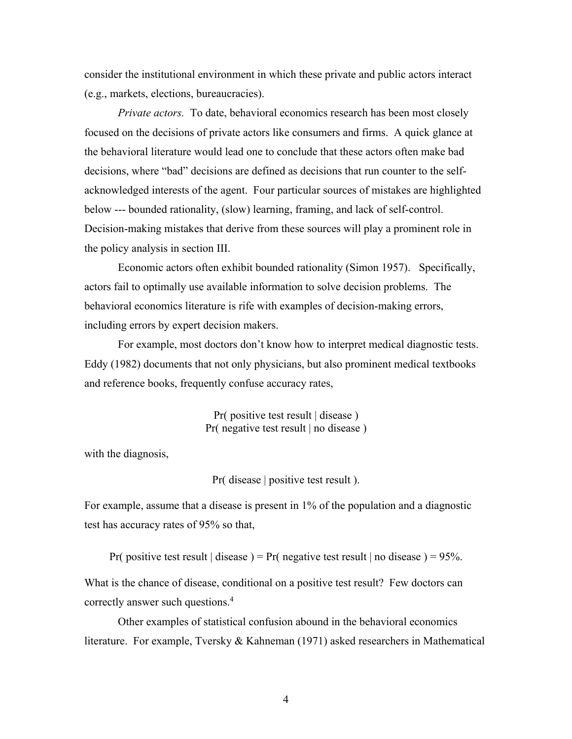consider the institutional environment in which these private and public actors interact (e.g., markets, elections, bureaucracies).

*Private actors.* To date, behavioral economics research has been most closely focused on the decisions of private actors like consumers and firms. A quick glance at the behavioral literature would lead one to conclude that these actors often make bad decisions, where "bad" decisions are defined as decisions that run counter to the selfacknowledged interests of the agent. Four particular sources of mistakes are highlighted below --- bounded rationality, (slow) learning, framing, and lack of self-control. Decision-making mistakes that derive from these sources will play a prominent role in the policy analysis in section III.

Economic actors often exhibit bounded rationality (Simon 1957). Specifically, actors fail to optimally use available information to solve decision problems. The behavioral economics literature is rife with examples of decision-making errors, including errors by expert decision makers.

For example, most doctors don't know how to interpret medical diagnostic tests. Eddy (1982) documents that not only physicians, but also prominent medical textbooks and reference books, frequently confuse accuracy rates,

> Pr( positive test result | disease ) Pr( negative test result | no disease )

with the diagnosis,

Pr( disease | positive test result ).

For example, assume that a disease is present in 1% of the population and a diagnostic test has accuracy rates of 95% so that,

Pr( positive test result | disease ) = Pr( negative test result | no disease ) =  $95\%$ .

What is the chance of disease, conditional on a positive test result? Few doctors can correctly answer such questions.4

Other examples of statistical confusion abound in the behavioral economics literature. For example, Tversky & Kahneman (1971) asked researchers in Mathematical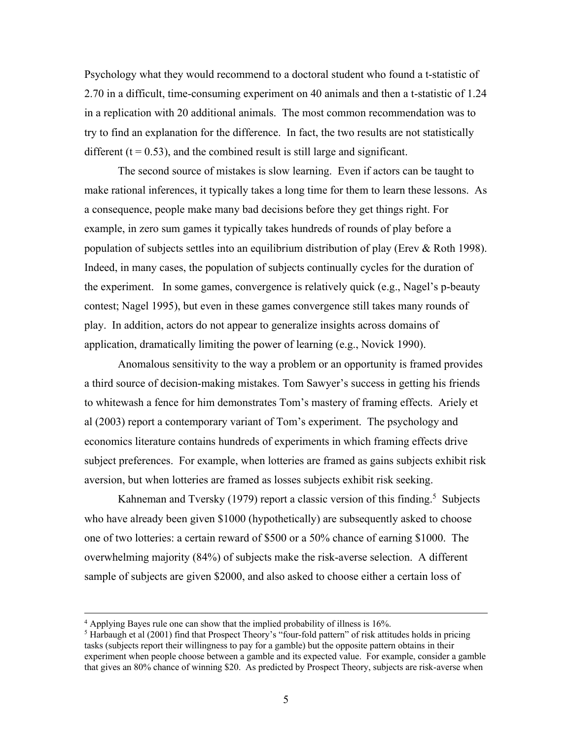Psychology what they would recommend to a doctoral student who found a t-statistic of 2.70 in a difficult, time-consuming experiment on 40 animals and then a t-statistic of 1.24 in a replication with 20 additional animals. The most common recommendation was to try to find an explanation for the difference. In fact, the two results are not statistically different  $(t = 0.53)$ , and the combined result is still large and significant.

The second source of mistakes is slow learning. Even if actors can be taught to make rational inferences, it typically takes a long time for them to learn these lessons. As a consequence, people make many bad decisions before they get things right. For example, in zero sum games it typically takes hundreds of rounds of play before a population of subjects settles into an equilibrium distribution of play (Erev & Roth 1998). Indeed, in many cases, the population of subjects continually cycles for the duration of the experiment. In some games, convergence is relatively quick (e.g., Nagel's p-beauty contest; Nagel 1995), but even in these games convergence still takes many rounds of play. In addition, actors do not appear to generalize insights across domains of application, dramatically limiting the power of learning (e.g., Novick 1990).

Anomalous sensitivity to the way a problem or an opportunity is framed provides a third source of decision-making mistakes. Tom Sawyer's success in getting his friends to whitewash a fence for him demonstrates Tom's mastery of framing effects. Ariely et al (2003) report a contemporary variant of Tom's experiment. The psychology and economics literature contains hundreds of experiments in which framing effects drive subject preferences. For example, when lotteries are framed as gains subjects exhibit risk aversion, but when lotteries are framed as losses subjects exhibit risk seeking.

Kahneman and Tversky (1979) report a classic version of this finding.<sup>5</sup> Subjects who have already been given \$1000 (hypothetically) are subsequently asked to choose one of two lotteries: a certain reward of \$500 or a 50% chance of earning \$1000. The overwhelming majority (84%) of subjects make the risk-averse selection. A different sample of subjects are given \$2000, and also asked to choose either a certain loss of

<sup>4</sup> Applying Bayes rule one can show that the implied probability of illness is 16%.

 $<sup>5</sup>$  Harbaugh et al (2001) find that Prospect Theory's "four-fold pattern" of risk attitudes holds in pricing</sup> tasks (subjects report their willingness to pay for a gamble) but the opposite pattern obtains in their experiment when people choose between a gamble and its expected value. For example, consider a gamble that gives an 80% chance of winning \$20. As predicted by Prospect Theory, subjects are risk-averse when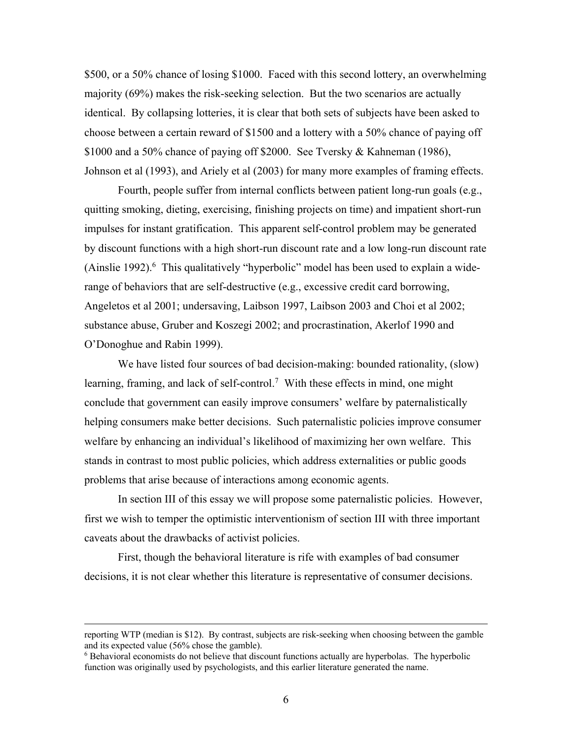\$500, or a 50% chance of losing \$1000. Faced with this second lottery, an overwhelming majority (69%) makes the risk-seeking selection. But the two scenarios are actually identical. By collapsing lotteries, it is clear that both sets of subjects have been asked to choose between a certain reward of \$1500 and a lottery with a 50% chance of paying off \$1000 and a 50% chance of paying off \$2000. See Tversky & Kahneman (1986), Johnson et al (1993), and Ariely et al (2003) for many more examples of framing effects.

Fourth, people suffer from internal conflicts between patient long-run goals (e.g., quitting smoking, dieting, exercising, finishing projects on time) and impatient short-run impulses for instant gratification. This apparent self-control problem may be generated by discount functions with a high short-run discount rate and a low long-run discount rate (Ainslie 1992). $6$  This qualitatively "hyperbolic" model has been used to explain a widerange of behaviors that are self-destructive (e.g., excessive credit card borrowing, Angeletos et al 2001; undersaving, Laibson 1997, Laibson 2003 and Choi et al 2002; substance abuse, Gruber and Koszegi 2002; and procrastination, Akerlof 1990 and O'Donoghue and Rabin 1999).

We have listed four sources of bad decision-making: bounded rationality, (slow) learning, framing, and lack of self-control.<sup>7</sup> With these effects in mind, one might conclude that government can easily improve consumers' welfare by paternalistically helping consumers make better decisions. Such paternalistic policies improve consumer welfare by enhancing an individual's likelihood of maximizing her own welfare. This stands in contrast to most public policies, which address externalities or public goods problems that arise because of interactions among economic agents.

In section III of this essay we will propose some paternalistic policies. However, first we wish to temper the optimistic interventionism of section III with three important caveats about the drawbacks of activist policies.

First, though the behavioral literature is rife with examples of bad consumer decisions, it is not clear whether this literature is representative of consumer decisions.

reporting WTP (median is \$12). By contrast, subjects are risk-seeking when choosing between the gamble and its expected value (56% chose the gamble).

<sup>6</sup> Behavioral economists do not believe that discount functions actually are hyperbolas. The hyperbolic function was originally used by psychologists, and this earlier literature generated the name.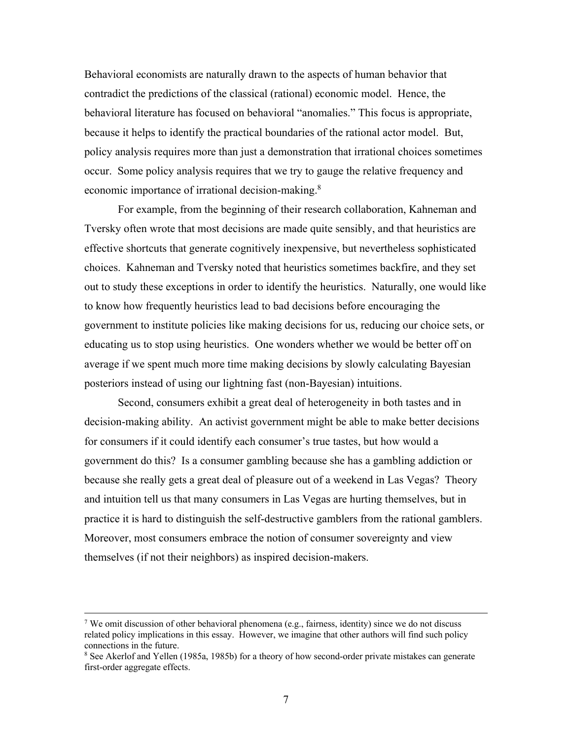Behavioral economists are naturally drawn to the aspects of human behavior that contradict the predictions of the classical (rational) economic model. Hence, the behavioral literature has focused on behavioral "anomalies." This focus is appropriate, because it helps to identify the practical boundaries of the rational actor model. But, policy analysis requires more than just a demonstration that irrational choices sometimes occur. Some policy analysis requires that we try to gauge the relative frequency and economic importance of irrational decision-making.<sup>8</sup>

For example, from the beginning of their research collaboration, Kahneman and Tversky often wrote that most decisions are made quite sensibly, and that heuristics are effective shortcuts that generate cognitively inexpensive, but nevertheless sophisticated choices. Kahneman and Tversky noted that heuristics sometimes backfire, and they set out to study these exceptions in order to identify the heuristics. Naturally, one would like to know how frequently heuristics lead to bad decisions before encouraging the government to institute policies like making decisions for us, reducing our choice sets, or educating us to stop using heuristics. One wonders whether we would be better off on average if we spent much more time making decisions by slowly calculating Bayesian posteriors instead of using our lightning fast (non-Bayesian) intuitions.

Second, consumers exhibit a great deal of heterogeneity in both tastes and in decision-making ability. An activist government might be able to make better decisions for consumers if it could identify each consumer's true tastes, but how would a government do this? Is a consumer gambling because she has a gambling addiction or because she really gets a great deal of pleasure out of a weekend in Las Vegas? Theory and intuition tell us that many consumers in Las Vegas are hurting themselves, but in practice it is hard to distinguish the self-destructive gamblers from the rational gamblers. Moreover, most consumers embrace the notion of consumer sovereignty and view themselves (if not their neighbors) as inspired decision-makers.

<sup>7</sup> We omit discussion of other behavioral phenomena (e.g., fairness, identity) since we do not discuss related policy implications in this essay. However, we imagine that other authors will find such policy connections in the future.

<sup>8</sup> See Akerlof and Yellen (1985a, 1985b) for a theory of how second-order private mistakes can generate first-order aggregate effects.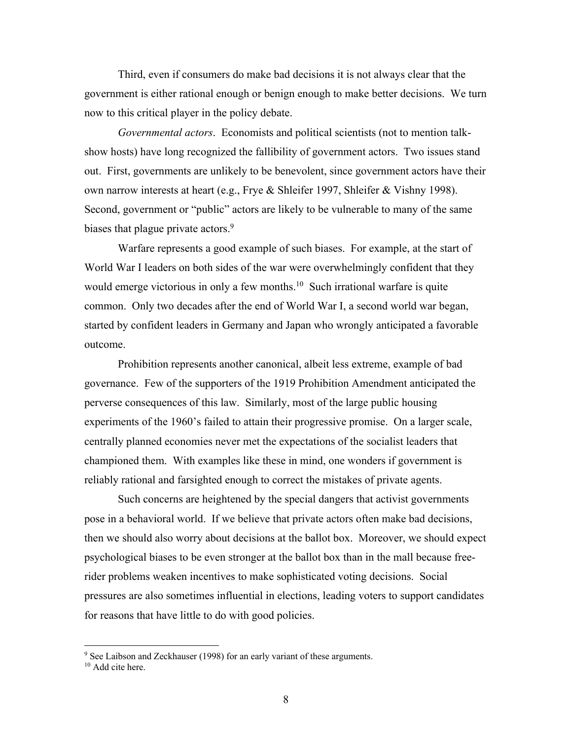Third, even if consumers do make bad decisions it is not always clear that the government is either rational enough or benign enough to make better decisions. We turn now to this critical player in the policy debate.

*Governmental actors*. Economists and political scientists (not to mention talkshow hosts) have long recognized the fallibility of government actors. Two issues stand out. First, governments are unlikely to be benevolent, since government actors have their own narrow interests at heart (e.g., Frye & Shleifer 1997, Shleifer & Vishny 1998). Second, government or "public" actors are likely to be vulnerable to many of the same biases that plague private actors.<sup>9</sup>

Warfare represents a good example of such biases. For example, at the start of World War I leaders on both sides of the war were overwhelmingly confident that they would emerge victorious in only a few months.<sup>10</sup> Such irrational warfare is quite common. Only two decades after the end of World War I, a second world war began, started by confident leaders in Germany and Japan who wrongly anticipated a favorable outcome.

Prohibition represents another canonical, albeit less extreme, example of bad governance. Few of the supporters of the 1919 Prohibition Amendment anticipated the perverse consequences of this law. Similarly, most of the large public housing experiments of the 1960's failed to attain their progressive promise. On a larger scale, centrally planned economies never met the expectations of the socialist leaders that championed them. With examples like these in mind, one wonders if government is reliably rational and farsighted enough to correct the mistakes of private agents.

Such concerns are heightened by the special dangers that activist governments pose in a behavioral world. If we believe that private actors often make bad decisions, then we should also worry about decisions at the ballot box. Moreover, we should expect psychological biases to be even stronger at the ballot box than in the mall because freerider problems weaken incentives to make sophisticated voting decisions. Social pressures are also sometimes influential in elections, leading voters to support candidates for reasons that have little to do with good policies.

<sup>&</sup>lt;sup>9</sup> See Laibson and Zeckhauser (1998) for an early variant of these arguments.

<sup>&</sup>lt;sup>10</sup> Add cite here.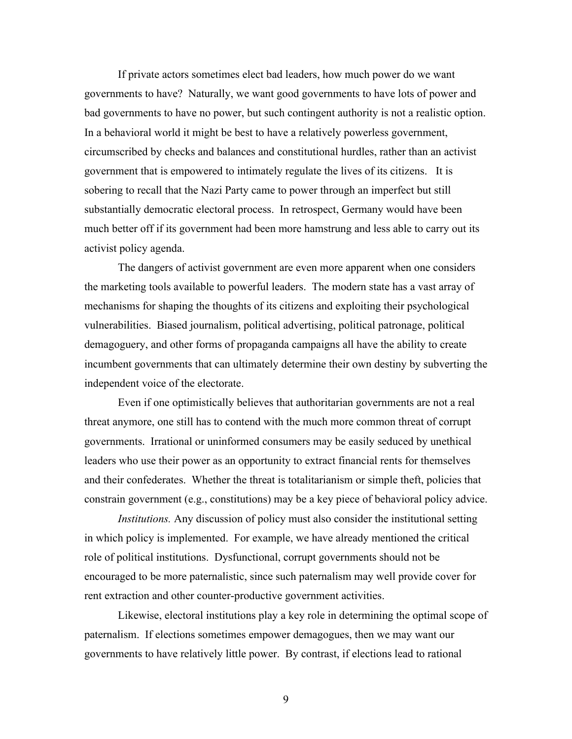If private actors sometimes elect bad leaders, how much power do we want governments to have? Naturally, we want good governments to have lots of power and bad governments to have no power, but such contingent authority is not a realistic option. In a behavioral world it might be best to have a relatively powerless government, circumscribed by checks and balances and constitutional hurdles, rather than an activist government that is empowered to intimately regulate the lives of its citizens. It is sobering to recall that the Nazi Party came to power through an imperfect but still substantially democratic electoral process. In retrospect, Germany would have been much better off if its government had been more hamstrung and less able to carry out its activist policy agenda.

The dangers of activist government are even more apparent when one considers the marketing tools available to powerful leaders. The modern state has a vast array of mechanisms for shaping the thoughts of its citizens and exploiting their psychological vulnerabilities. Biased journalism, political advertising, political patronage, political demagoguery, and other forms of propaganda campaigns all have the ability to create incumbent governments that can ultimately determine their own destiny by subverting the independent voice of the electorate.

Even if one optimistically believes that authoritarian governments are not a real threat anymore, one still has to contend with the much more common threat of corrupt governments. Irrational or uninformed consumers may be easily seduced by unethical leaders who use their power as an opportunity to extract financial rents for themselves and their confederates. Whether the threat is totalitarianism or simple theft, policies that constrain government (e.g., constitutions) may be a key piece of behavioral policy advice.

*Institutions.* Any discussion of policy must also consider the institutional setting in which policy is implemented. For example, we have already mentioned the critical role of political institutions. Dysfunctional, corrupt governments should not be encouraged to be more paternalistic, since such paternalism may well provide cover for rent extraction and other counter-productive government activities.

Likewise, electoral institutions play a key role in determining the optimal scope of paternalism. If elections sometimes empower demagogues, then we may want our governments to have relatively little power. By contrast, if elections lead to rational

9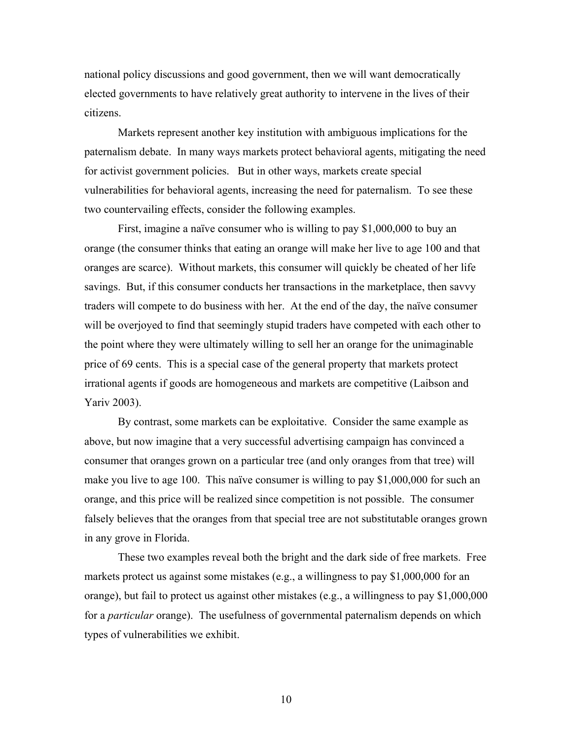national policy discussions and good government, then we will want democratically elected governments to have relatively great authority to intervene in the lives of their citizens.

Markets represent another key institution with ambiguous implications for the paternalism debate. In many ways markets protect behavioral agents, mitigating the need for activist government policies. But in other ways, markets create special vulnerabilities for behavioral agents, increasing the need for paternalism. To see these two countervailing effects, consider the following examples.

First, imagine a naïve consumer who is willing to pay \$1,000,000 to buy an orange (the consumer thinks that eating an orange will make her live to age 100 and that oranges are scarce). Without markets, this consumer will quickly be cheated of her life savings. But, if this consumer conducts her transactions in the marketplace, then savvy traders will compete to do business with her. At the end of the day, the naïve consumer will be overjoyed to find that seemingly stupid traders have competed with each other to the point where they were ultimately willing to sell her an orange for the unimaginable price of 69 cents. This is a special case of the general property that markets protect irrational agents if goods are homogeneous and markets are competitive (Laibson and Yariv 2003).

By contrast, some markets can be exploitative. Consider the same example as above, but now imagine that a very successful advertising campaign has convinced a consumer that oranges grown on a particular tree (and only oranges from that tree) will make you live to age 100. This naïve consumer is willing to pay \$1,000,000 for such an orange, and this price will be realized since competition is not possible. The consumer falsely believes that the oranges from that special tree are not substitutable oranges grown in any grove in Florida.

These two examples reveal both the bright and the dark side of free markets. Free markets protect us against some mistakes (e.g., a willingness to pay \$1,000,000 for an orange), but fail to protect us against other mistakes (e.g., a willingness to pay \$1,000,000 for a *particular* orange). The usefulness of governmental paternalism depends on which types of vulnerabilities we exhibit.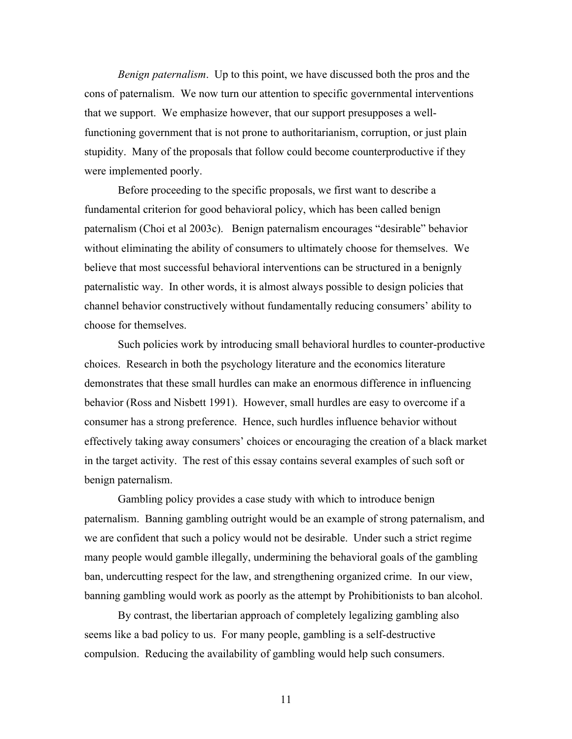*Benign paternalism*. Up to this point, we have discussed both the pros and the cons of paternalism. We now turn our attention to specific governmental interventions that we support. We emphasize however, that our support presupposes a wellfunctioning government that is not prone to authoritarianism, corruption, or just plain stupidity. Many of the proposals that follow could become counterproductive if they were implemented poorly.

Before proceeding to the specific proposals, we first want to describe a fundamental criterion for good behavioral policy, which has been called benign paternalism (Choi et al 2003c). Benign paternalism encourages "desirable" behavior without eliminating the ability of consumers to ultimately choose for themselves. We believe that most successful behavioral interventions can be structured in a benignly paternalistic way. In other words, it is almost always possible to design policies that channel behavior constructively without fundamentally reducing consumers' ability to choose for themselves.

Such policies work by introducing small behavioral hurdles to counter-productive choices. Research in both the psychology literature and the economics literature demonstrates that these small hurdles can make an enormous difference in influencing behavior (Ross and Nisbett 1991). However, small hurdles are easy to overcome if a consumer has a strong preference. Hence, such hurdles influence behavior without effectively taking away consumers' choices or encouraging the creation of a black market in the target activity. The rest of this essay contains several examples of such soft or benign paternalism.

Gambling policy provides a case study with which to introduce benign paternalism. Banning gambling outright would be an example of strong paternalism, and we are confident that such a policy would not be desirable. Under such a strict regime many people would gamble illegally, undermining the behavioral goals of the gambling ban, undercutting respect for the law, and strengthening organized crime. In our view, banning gambling would work as poorly as the attempt by Prohibitionists to ban alcohol.

By contrast, the libertarian approach of completely legalizing gambling also seems like a bad policy to us. For many people, gambling is a self-destructive compulsion. Reducing the availability of gambling would help such consumers.

11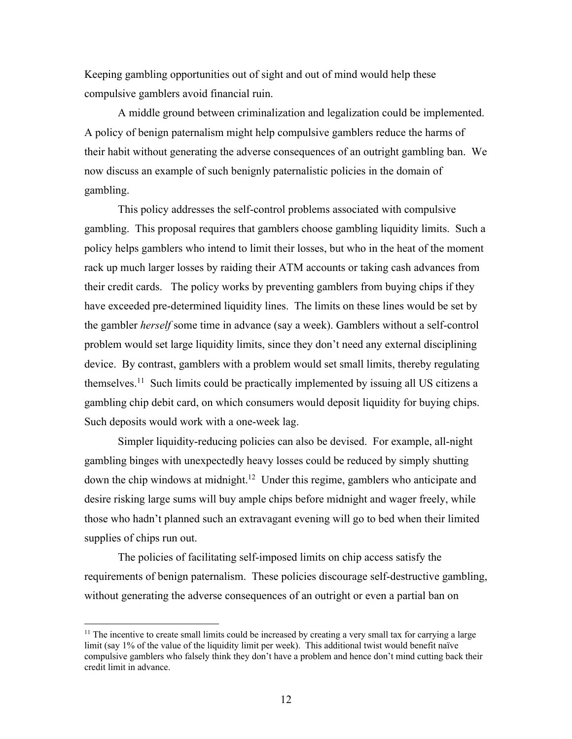Keeping gambling opportunities out of sight and out of mind would help these compulsive gamblers avoid financial ruin.

A middle ground between criminalization and legalization could be implemented. A policy of benign paternalism might help compulsive gamblers reduce the harms of their habit without generating the adverse consequences of an outright gambling ban. We now discuss an example of such benignly paternalistic policies in the domain of gambling.

This policy addresses the self-control problems associated with compulsive gambling. This proposal requires that gamblers choose gambling liquidity limits. Such a policy helps gamblers who intend to limit their losses, but who in the heat of the moment rack up much larger losses by raiding their ATM accounts or taking cash advances from their credit cards. The policy works by preventing gamblers from buying chips if they have exceeded pre-determined liquidity lines. The limits on these lines would be set by the gambler *herself* some time in advance (say a week). Gamblers without a self-control problem would set large liquidity limits, since they don't need any external disciplining device. By contrast, gamblers with a problem would set small limits, thereby regulating themselves.11 Such limits could be practically implemented by issuing all US citizens a gambling chip debit card, on which consumers would deposit liquidity for buying chips. Such deposits would work with a one-week lag.

Simpler liquidity-reducing policies can also be devised. For example, all-night gambling binges with unexpectedly heavy losses could be reduced by simply shutting down the chip windows at midnight.<sup>12</sup> Under this regime, gamblers who anticipate and desire risking large sums will buy ample chips before midnight and wager freely, while those who hadn't planned such an extravagant evening will go to bed when their limited supplies of chips run out.

The policies of facilitating self-imposed limits on chip access satisfy the requirements of benign paternalism. These policies discourage self-destructive gambling, without generating the adverse consequences of an outright or even a partial ban on

 $11$  The incentive to create small limits could be increased by creating a very small tax for carrying a large limit (say 1% of the value of the liquidity limit per week). This additional twist would benefit naïve compulsive gamblers who falsely think they don't have a problem and hence don't mind cutting back their credit limit in advance.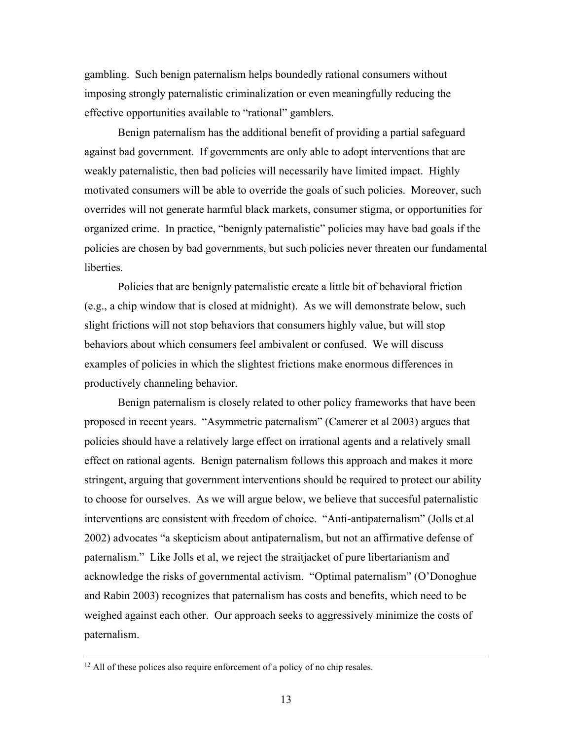gambling. Such benign paternalism helps boundedly rational consumers without imposing strongly paternalistic criminalization or even meaningfully reducing the effective opportunities available to "rational" gamblers.

Benign paternalism has the additional benefit of providing a partial safeguard against bad government. If governments are only able to adopt interventions that are weakly paternalistic, then bad policies will necessarily have limited impact. Highly motivated consumers will be able to override the goals of such policies. Moreover, such overrides will not generate harmful black markets, consumer stigma, or opportunities for organized crime. In practice, "benignly paternalistic" policies may have bad goals if the policies are chosen by bad governments, but such policies never threaten our fundamental liberties.

Policies that are benignly paternalistic create a little bit of behavioral friction (e.g., a chip window that is closed at midnight). As we will demonstrate below, such slight frictions will not stop behaviors that consumers highly value, but will stop behaviors about which consumers feel ambivalent or confused. We will discuss examples of policies in which the slightest frictions make enormous differences in productively channeling behavior.

Benign paternalism is closely related to other policy frameworks that have been proposed in recent years. "Asymmetric paternalism" (Camerer et al 2003) argues that policies should have a relatively large effect on irrational agents and a relatively small effect on rational agents. Benign paternalism follows this approach and makes it more stringent, arguing that government interventions should be required to protect our ability to choose for ourselves. As we will argue below, we believe that succesful paternalistic interventions are consistent with freedom of choice. "Anti-antipaternalism" (Jolls et al 2002) advocates "a skepticism about antipaternalism, but not an affirmative defense of paternalism." Like Jolls et al, we reject the straitjacket of pure libertarianism and acknowledge the risks of governmental activism. "Optimal paternalism" (O'Donoghue and Rabin 2003) recognizes that paternalism has costs and benefits, which need to be weighed against each other. Our approach seeks to aggressively minimize the costs of paternalism.

 $12$  All of these polices also require enforcement of a policy of no chip resales.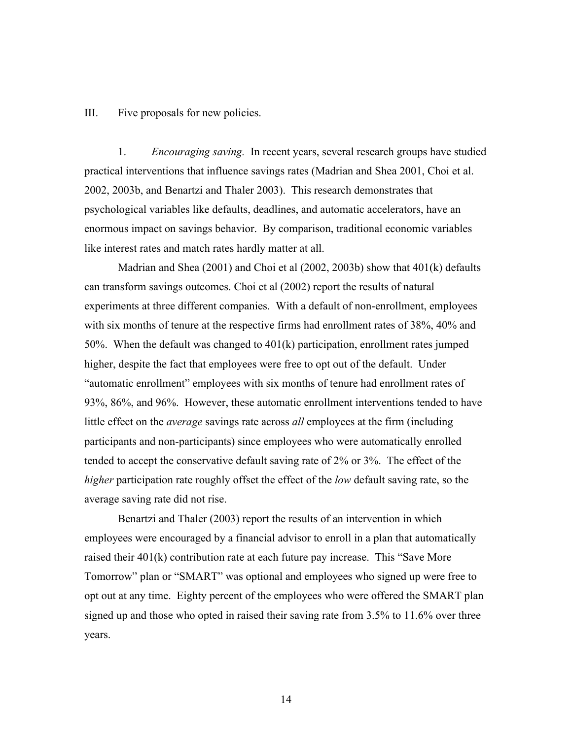III. Five proposals for new policies.

1. *Encouraging saving.* In recent years, several research groups have studied practical interventions that influence savings rates (Madrian and Shea 2001, Choi et al. 2002, 2003b, and Benartzi and Thaler 2003). This research demonstrates that psychological variables like defaults, deadlines, and automatic accelerators, have an enormous impact on savings behavior. By comparison, traditional economic variables like interest rates and match rates hardly matter at all.

Madrian and Shea (2001) and Choi et al (2002, 2003b) show that 401(k) defaults can transform savings outcomes. Choi et al (2002) report the results of natural experiments at three different companies. With a default of non-enrollment, employees with six months of tenure at the respective firms had enrollment rates of 38%, 40% and 50%. When the default was changed to 401(k) participation, enrollment rates jumped higher, despite the fact that employees were free to opt out of the default. Under "automatic enrollment" employees with six months of tenure had enrollment rates of 93%, 86%, and 96%. However, these automatic enrollment interventions tended to have little effect on the *average* savings rate across *all* employees at the firm (including participants and non-participants) since employees who were automatically enrolled tended to accept the conservative default saving rate of 2% or 3%. The effect of the *higher* participation rate roughly offset the effect of the *low* default saving rate, so the average saving rate did not rise.

Benartzi and Thaler (2003) report the results of an intervention in which employees were encouraged by a financial advisor to enroll in a plan that automatically raised their 401(k) contribution rate at each future pay increase. This "Save More Tomorrow" plan or "SMART" was optional and employees who signed up were free to opt out at any time. Eighty percent of the employees who were offered the SMART plan signed up and those who opted in raised their saving rate from 3.5% to 11.6% over three years.

14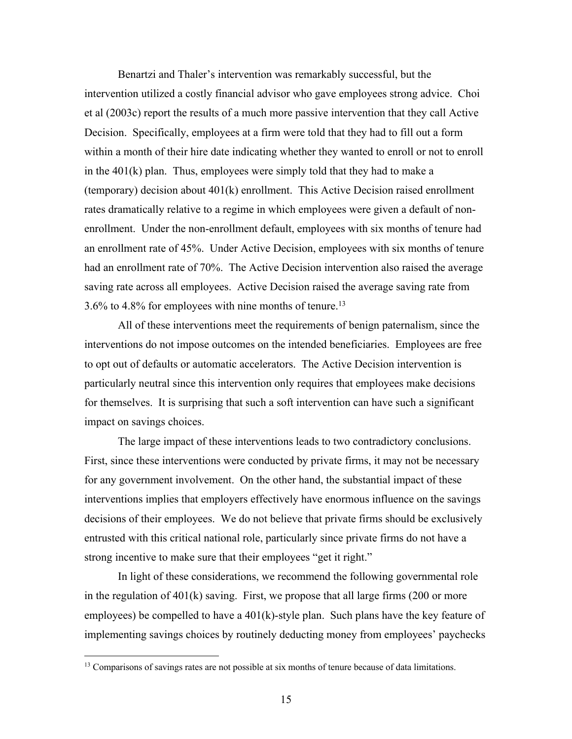Benartzi and Thaler's intervention was remarkably successful, but the intervention utilized a costly financial advisor who gave employees strong advice. Choi et al (2003c) report the results of a much more passive intervention that they call Active Decision. Specifically, employees at a firm were told that they had to fill out a form within a month of their hire date indicating whether they wanted to enroll or not to enroll in the 401(k) plan. Thus, employees were simply told that they had to make a (temporary) decision about 401(k) enrollment. This Active Decision raised enrollment rates dramatically relative to a regime in which employees were given a default of nonenrollment. Under the non-enrollment default, employees with six months of tenure had an enrollment rate of 45%. Under Active Decision, employees with six months of tenure had an enrollment rate of 70%. The Active Decision intervention also raised the average saving rate across all employees. Active Decision raised the average saving rate from  $3.6\%$  to 4.8% for employees with nine months of tenure.<sup>13</sup>

All of these interventions meet the requirements of benign paternalism, since the interventions do not impose outcomes on the intended beneficiaries. Employees are free to opt out of defaults or automatic accelerators. The Active Decision intervention is particularly neutral since this intervention only requires that employees make decisions for themselves. It is surprising that such a soft intervention can have such a significant impact on savings choices.

The large impact of these interventions leads to two contradictory conclusions. First, since these interventions were conducted by private firms, it may not be necessary for any government involvement. On the other hand, the substantial impact of these interventions implies that employers effectively have enormous influence on the savings decisions of their employees. We do not believe that private firms should be exclusively entrusted with this critical national role, particularly since private firms do not have a strong incentive to make sure that their employees "get it right."

In light of these considerations, we recommend the following governmental role in the regulation of  $401(k)$  saving. First, we propose that all large firms (200 or more employees) be compelled to have a  $401(k)$ -style plan. Such plans have the key feature of implementing savings choices by routinely deducting money from employees' paychecks

<sup>&</sup>lt;sup>13</sup> Comparisons of savings rates are not possible at six months of tenure because of data limitations.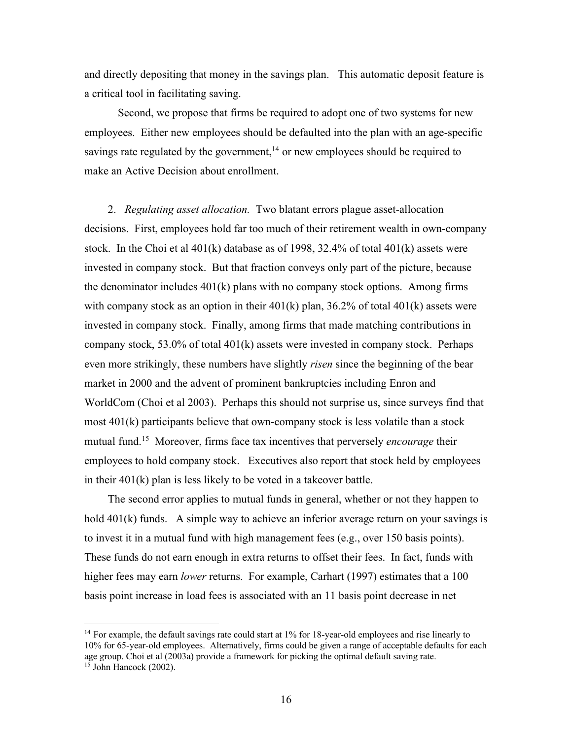and directly depositing that money in the savings plan. This automatic deposit feature is a critical tool in facilitating saving.

Second, we propose that firms be required to adopt one of two systems for new employees. Either new employees should be defaulted into the plan with an age-specific savings rate regulated by the government,<sup>14</sup> or new employees should be required to make an Active Decision about enrollment.

2. *Regulating asset allocation.* Two blatant errors plague asset-allocation decisions. First, employees hold far too much of their retirement wealth in own-company stock. In the Choi et al  $401(k)$  database as of 1998, 32.4% of total  $401(k)$  assets were invested in company stock. But that fraction conveys only part of the picture, because the denominator includes  $401(k)$  plans with no company stock options. Among firms with company stock as an option in their  $401(k)$  plan,  $36.2\%$  of total  $401(k)$  assets were invested in company stock. Finally, among firms that made matching contributions in company stock,  $53.0\%$  of total  $401(k)$  assets were invested in company stock. Perhaps even more strikingly, these numbers have slightly *risen* since the beginning of the bear market in 2000 and the advent of prominent bankruptcies including Enron and WorldCom (Choi et al 2003). Perhaps this should not surprise us, since surveys find that most 401(k) participants believe that own-company stock is less volatile than a stock mutual fund.15 Moreover, firms face tax incentives that perversely *encourage* their employees to hold company stock. Executives also report that stock held by employees in their 401(k) plan is less likely to be voted in a takeover battle.

The second error applies to mutual funds in general, whether or not they happen to hold 401(k) funds. A simple way to achieve an inferior average return on your savings is to invest it in a mutual fund with high management fees (e.g., over 150 basis points). These funds do not earn enough in extra returns to offset their fees. In fact, funds with higher fees may earn *lower* returns. For example, Carhart (1997) estimates that a 100 basis point increase in load fees is associated with an 11 basis point decrease in net

<sup>&</sup>lt;sup>14</sup> For example, the default savings rate could start at 1% for 18-year-old employees and rise linearly to 10% for 65-year-old employees. Alternatively, firms could be given a range of acceptable defaults for each age group. Choi et al (2003a) provide a framework for picking the optimal default saving rate.  $15$  John Hancock (2002).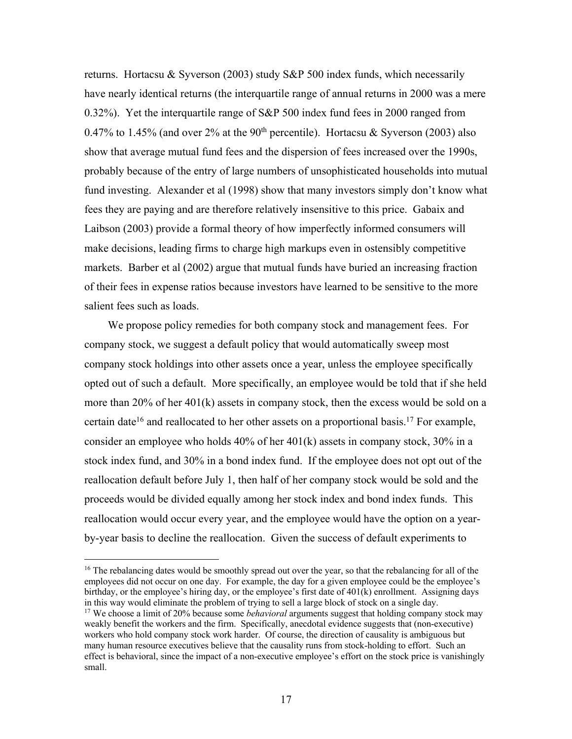returns. Hortacsu & Syverson (2003) study S&P 500 index funds, which necessarily have nearly identical returns (the interquartile range of annual returns in 2000 was a mere 0.32%). Yet the interquartile range of S&P 500 index fund fees in 2000 ranged from 0.47% to 1.45% (and over 2% at the 90<sup>th</sup> percentile). Hortacsu & Syverson (2003) also show that average mutual fund fees and the dispersion of fees increased over the 1990s, probably because of the entry of large numbers of unsophisticated households into mutual fund investing. Alexander et al (1998) show that many investors simply don't know what fees they are paying and are therefore relatively insensitive to this price. Gabaix and Laibson (2003) provide a formal theory of how imperfectly informed consumers will make decisions, leading firms to charge high markups even in ostensibly competitive markets. Barber et al (2002) argue that mutual funds have buried an increasing fraction of their fees in expense ratios because investors have learned to be sensitive to the more salient fees such as loads.

We propose policy remedies for both company stock and management fees. For company stock, we suggest a default policy that would automatically sweep most company stock holdings into other assets once a year, unless the employee specifically opted out of such a default. More specifically, an employee would be told that if she held more than 20% of her 401(k) assets in company stock, then the excess would be sold on a certain date<sup>16</sup> and reallocated to her other assets on a proportional basis.<sup>17</sup> For example, consider an employee who holds 40% of her 401(k) assets in company stock, 30% in a stock index fund, and 30% in a bond index fund. If the employee does not opt out of the reallocation default before July 1, then half of her company stock would be sold and the proceeds would be divided equally among her stock index and bond index funds. This reallocation would occur every year, and the employee would have the option on a yearby-year basis to decline the reallocation. Given the success of default experiments to

<sup>&</sup>lt;sup>16</sup> The rebalancing dates would be smoothly spread out over the year, so that the rebalancing for all of the employees did not occur on one day. For example, the day for a given employee could be the employee's birthday, or the employee's hiring day, or the employee's first date of 401(k) enrollment. Assigning days in this way would eliminate the problem of trying to sell a large block of stock on a single day.

<sup>&</sup>lt;sup>17</sup> We choose a limit of 20% because some *behavioral* arguments suggest that holding company stock may weakly benefit the workers and the firm. Specifically, anecdotal evidence suggests that (non-executive) workers who hold company stock work harder. Of course, the direction of causality is ambiguous but many human resource executives believe that the causality runs from stock-holding to effort. Such an effect is behavioral, since the impact of a non-executive employee's effort on the stock price is vanishingly small.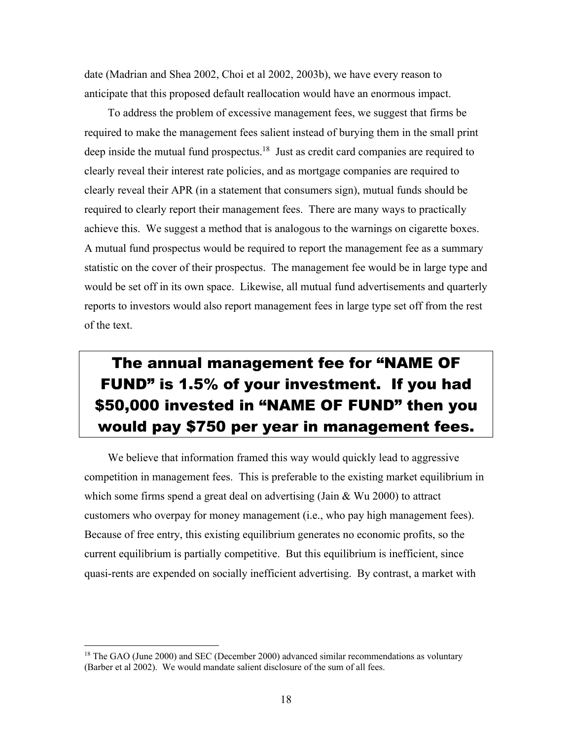date (Madrian and Shea 2002, Choi et al 2002, 2003b), we have every reason to anticipate that this proposed default reallocation would have an enormous impact.

To address the problem of excessive management fees, we suggest that firms be required to make the management fees salient instead of burying them in the small print deep inside the mutual fund prospectus.<sup>18</sup> Just as credit card companies are required to clearly reveal their interest rate policies, and as mortgage companies are required to clearly reveal their APR (in a statement that consumers sign), mutual funds should be required to clearly report their management fees. There are many ways to practically achieve this. We suggest a method that is analogous to the warnings on cigarette boxes. A mutual fund prospectus would be required to report the management fee as a summary statistic on the cover of their prospectus. The management fee would be in large type and would be set off in its own space. Likewise, all mutual fund advertisements and quarterly reports to investors would also report management fees in large type set off from the rest of the text.

# The annual management fee for "NAME OF FUND" is 1.5% of your investment. If you had \$50,000 invested in "NAME OF FUND" then you would pay \$750 per year in management fees.

We believe that information framed this way would quickly lead to aggressive competition in management fees. This is preferable to the existing market equilibrium in which some firms spend a great deal on advertising (Jain & Wu 2000) to attract customers who overpay for money management (i.e., who pay high management fees). Because of free entry, this existing equilibrium generates no economic profits, so the current equilibrium is partially competitive. But this equilibrium is inefficient, since quasi-rents are expended on socially inefficient advertising. By contrast, a market with

<sup>&</sup>lt;sup>18</sup> The GAO (June 2000) and SEC (December 2000) advanced similar recommendations as voluntary (Barber et al 2002). We would mandate salient disclosure of the sum of all fees.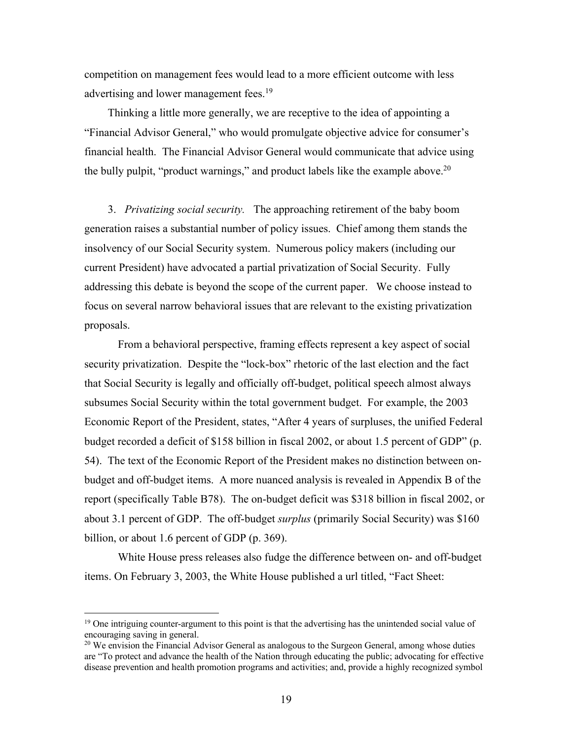competition on management fees would lead to a more efficient outcome with less advertising and lower management fees.<sup>19</sup>

Thinking a little more generally, we are receptive to the idea of appointing a "Financial Advisor General," who would promulgate objective advice for consumer's financial health. The Financial Advisor General would communicate that advice using the bully pulpit, "product warnings," and product labels like the example above.<sup>20</sup>

3. *Privatizing social security.* The approaching retirement of the baby boom generation raises a substantial number of policy issues. Chief among them stands the insolvency of our Social Security system. Numerous policy makers (including our current President) have advocated a partial privatization of Social Security. Fully addressing this debate is beyond the scope of the current paper. We choose instead to focus on several narrow behavioral issues that are relevant to the existing privatization proposals.

From a behavioral perspective, framing effects represent a key aspect of social security privatization. Despite the "lock-box" rhetoric of the last election and the fact that Social Security is legally and officially off-budget, political speech almost always subsumes Social Security within the total government budget. For example, the 2003 Economic Report of the President, states, "After 4 years of surpluses, the unified Federal budget recorded a deficit of \$158 billion in fiscal 2002, or about 1.5 percent of GDP" (p. 54). The text of the Economic Report of the President makes no distinction between onbudget and off-budget items. A more nuanced analysis is revealed in Appendix B of the report (specifically Table B78). The on-budget deficit was \$318 billion in fiscal 2002, or about 3.1 percent of GDP. The off-budget *surplus* (primarily Social Security) was \$160 billion, or about 1.6 percent of GDP (p. 369).

White House press releases also fudge the difference between on- and off-budget items. On February 3, 2003, the White House published a url titled, "Fact Sheet:

<sup>&</sup>lt;sup>19</sup> One intriguing counter-argument to this point is that the advertising has the unintended social value of encouraging saving in general.

 $20$  We envision the Financial Advisor General as analogous to the Surgeon General, among whose duties are "To protect and advance the health of the Nation through educating the public; advocating for effective disease prevention and health promotion programs and activities; and, provide a highly recognized symbol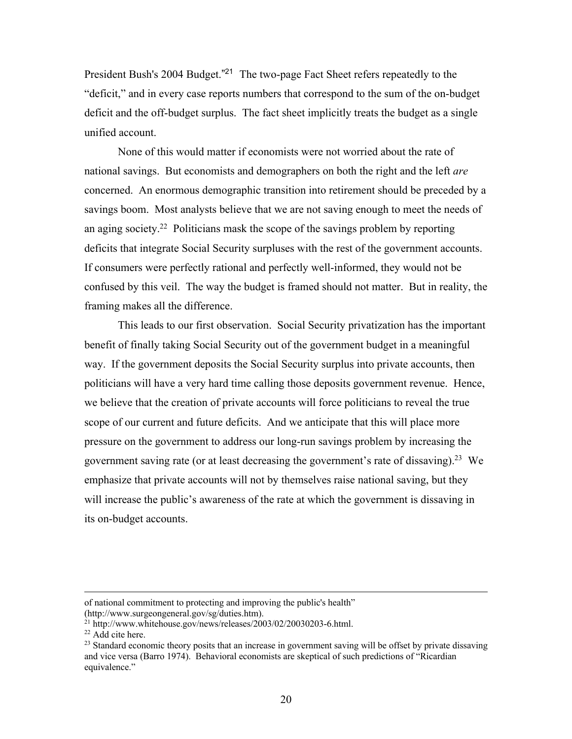President Bush's 2004 Budget."<sup>21</sup> The two-page Fact Sheet refers repeatedly to the "deficit," and in every case reports numbers that correspond to the sum of the on-budget deficit and the off-budget surplus. The fact sheet implicitly treats the budget as a single unified account.

None of this would matter if economists were not worried about the rate of national savings. But economists and demographers on both the right and the left *are* concerned. An enormous demographic transition into retirement should be preceded by a savings boom. Most analysts believe that we are not saving enough to meet the needs of an aging society.<sup>22</sup> Politicians mask the scope of the savings problem by reporting deficits that integrate Social Security surpluses with the rest of the government accounts. If consumers were perfectly rational and perfectly well-informed, they would not be confused by this veil. The way the budget is framed should not matter. But in reality, the framing makes all the difference.

This leads to our first observation. Social Security privatization has the important benefit of finally taking Social Security out of the government budget in a meaningful way. If the government deposits the Social Security surplus into private accounts, then politicians will have a very hard time calling those deposits government revenue. Hence, we believe that the creation of private accounts will force politicians to reveal the true scope of our current and future deficits. And we anticipate that this will place more pressure on the government to address our long-run savings problem by increasing the government saving rate (or at least decreasing the government's rate of dissaving).<sup>23</sup> We emphasize that private accounts will not by themselves raise national saving, but they will increase the public's awareness of the rate at which the government is dissaving in its on-budget accounts.

of national commitment to protecting and improving the public's health" (http://www.surgeongeneral.gov/sg/duties.htm).

<sup>21</sup> http://www.whitehouse.gov/news/releases/2003/02/20030203-6.html.

 $22$  Add cite here.

<sup>&</sup>lt;sup>23</sup> Standard economic theory posits that an increase in government saving will be offset by private dissaving and vice versa (Barro 1974). Behavioral economists are skeptical of such predictions of "Ricardian equivalence."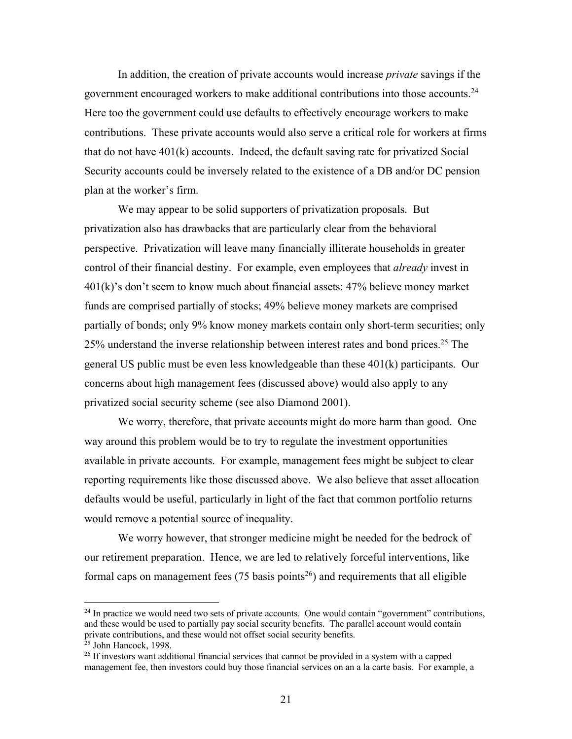In addition, the creation of private accounts would increase *private* savings if the government encouraged workers to make additional contributions into those accounts.24 Here too the government could use defaults to effectively encourage workers to make contributions. These private accounts would also serve a critical role for workers at firms that do not have 401(k) accounts. Indeed, the default saving rate for privatized Social Security accounts could be inversely related to the existence of a DB and/or DC pension plan at the worker's firm.

We may appear to be solid supporters of privatization proposals. But privatization also has drawbacks that are particularly clear from the behavioral perspective. Privatization will leave many financially illiterate households in greater control of their financial destiny. For example, even employees that *already* invest in 401(k)'s don't seem to know much about financial assets: 47% believe money market funds are comprised partially of stocks; 49% believe money markets are comprised partially of bonds; only 9% know money markets contain only short-term securities; only 25% understand the inverse relationship between interest rates and bond prices.<sup>25</sup> The general US public must be even less knowledgeable than these 401(k) participants. Our concerns about high management fees (discussed above) would also apply to any privatized social security scheme (see also Diamond 2001).

We worry, therefore, that private accounts might do more harm than good. One way around this problem would be to try to regulate the investment opportunities available in private accounts. For example, management fees might be subject to clear reporting requirements like those discussed above. We also believe that asset allocation defaults would be useful, particularly in light of the fact that common portfolio returns would remove a potential source of inequality.

We worry however, that stronger medicine might be needed for the bedrock of our retirement preparation. Hence, we are led to relatively forceful interventions, like formal caps on management fees  $(75 \text{ basis points}^{26})$  and requirements that all eligible

 $24$  In practice we would need two sets of private accounts. One would contain "government" contributions, and these would be used to partially pay social security benefits. The parallel account would contain private contributions, and these would not offset social security benefits.

<sup>&</sup>lt;sup>25</sup> John Hancock, 1998.

<sup>&</sup>lt;sup>26</sup> If investors want additional financial services that cannot be provided in a system with a capped management fee, then investors could buy those financial services on an a la carte basis. For example, a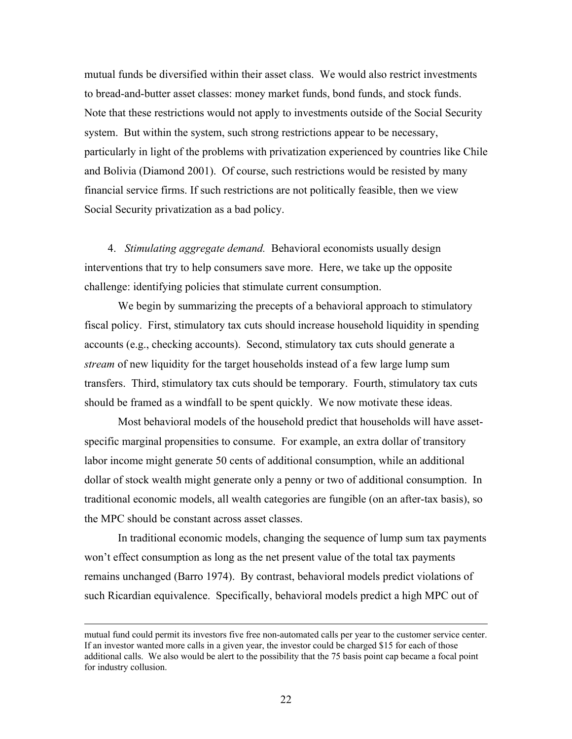mutual funds be diversified within their asset class. We would also restrict investments to bread-and-butter asset classes: money market funds, bond funds, and stock funds. Note that these restrictions would not apply to investments outside of the Social Security system. But within the system, such strong restrictions appear to be necessary, particularly in light of the problems with privatization experienced by countries like Chile and Bolivia (Diamond 2001). Of course, such restrictions would be resisted by many financial service firms. If such restrictions are not politically feasible, then we view Social Security privatization as a bad policy.

4. *Stimulating aggregate demand.* Behavioral economists usually design interventions that try to help consumers save more. Here, we take up the opposite challenge: identifying policies that stimulate current consumption.

We begin by summarizing the precepts of a behavioral approach to stimulatory fiscal policy. First, stimulatory tax cuts should increase household liquidity in spending accounts (e.g., checking accounts). Second, stimulatory tax cuts should generate a *stream* of new liquidity for the target households instead of a few large lump sum transfers. Third, stimulatory tax cuts should be temporary. Fourth, stimulatory tax cuts should be framed as a windfall to be spent quickly. We now motivate these ideas.

Most behavioral models of the household predict that households will have assetspecific marginal propensities to consume. For example, an extra dollar of transitory labor income might generate 50 cents of additional consumption, while an additional dollar of stock wealth might generate only a penny or two of additional consumption. In traditional economic models, all wealth categories are fungible (on an after-tax basis), so the MPC should be constant across asset classes.

In traditional economic models, changing the sequence of lump sum tax payments won't effect consumption as long as the net present value of the total tax payments remains unchanged (Barro 1974). By contrast, behavioral models predict violations of such Ricardian equivalence. Specifically, behavioral models predict a high MPC out of

mutual fund could permit its investors five free non-automated calls per year to the customer service center. If an investor wanted more calls in a given year, the investor could be charged \$15 for each of those additional calls. We also would be alert to the possibility that the 75 basis point cap became a focal point for industry collusion.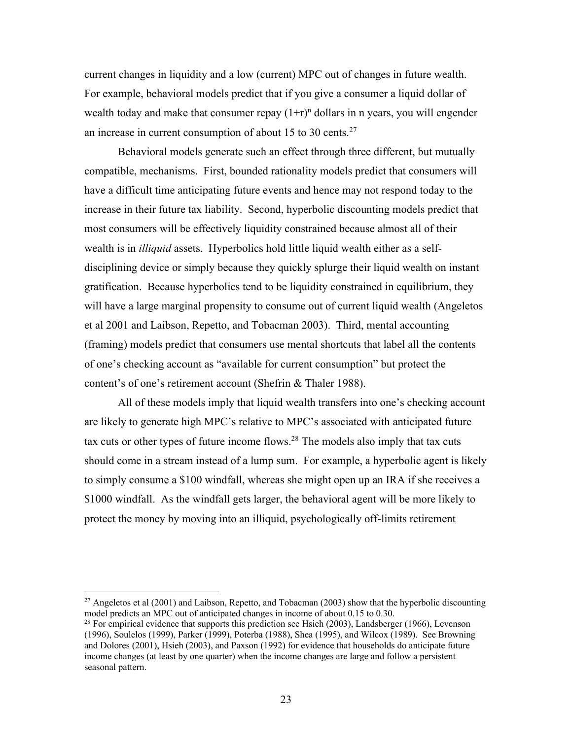current changes in liquidity and a low (current) MPC out of changes in future wealth. For example, behavioral models predict that if you give a consumer a liquid dollar of wealth today and make that consumer repay  $(1+r)^n$  dollars in n years, you will engender an increase in current consumption of about 15 to 30 cents. $27$ 

Behavioral models generate such an effect through three different, but mutually compatible, mechanisms. First, bounded rationality models predict that consumers will have a difficult time anticipating future events and hence may not respond today to the increase in their future tax liability. Second, hyperbolic discounting models predict that most consumers will be effectively liquidity constrained because almost all of their wealth is in *illiquid* assets. Hyperbolics hold little liquid wealth either as a selfdisciplining device or simply because they quickly splurge their liquid wealth on instant gratification. Because hyperbolics tend to be liquidity constrained in equilibrium, they will have a large marginal propensity to consume out of current liquid wealth (Angeletos et al 2001 and Laibson, Repetto, and Tobacman 2003). Third, mental accounting (framing) models predict that consumers use mental shortcuts that label all the contents of one's checking account as "available for current consumption" but protect the content's of one's retirement account (Shefrin & Thaler 1988).

All of these models imply that liquid wealth transfers into one's checking account are likely to generate high MPC's relative to MPC's associated with anticipated future tax cuts or other types of future income flows.28 The models also imply that tax cuts should come in a stream instead of a lump sum. For example, a hyperbolic agent is likely to simply consume a \$100 windfall, whereas she might open up an IRA if she receives a \$1000 windfall. As the windfall gets larger, the behavioral agent will be more likely to protect the money by moving into an illiquid, psychologically off-limits retirement

 $27$  Angeletos et al (2001) and Laibson, Repetto, and Tobacman (2003) show that the hyperbolic discounting model predicts an MPC out of anticipated changes in income of about 0.15 to 0.30.<br><sup>28</sup> For empirical evidence that supports this prediction see Hsieh (2003), Landsberger (1966), Levenson

<sup>(1996),</sup> Soulelos (1999), Parker (1999), Poterba (1988), Shea (1995), and Wilcox (1989). See Browning and Dolores (2001), Hsieh (2003), and Paxson (1992) for evidence that households do anticipate future income changes (at least by one quarter) when the income changes are large and follow a persistent seasonal pattern.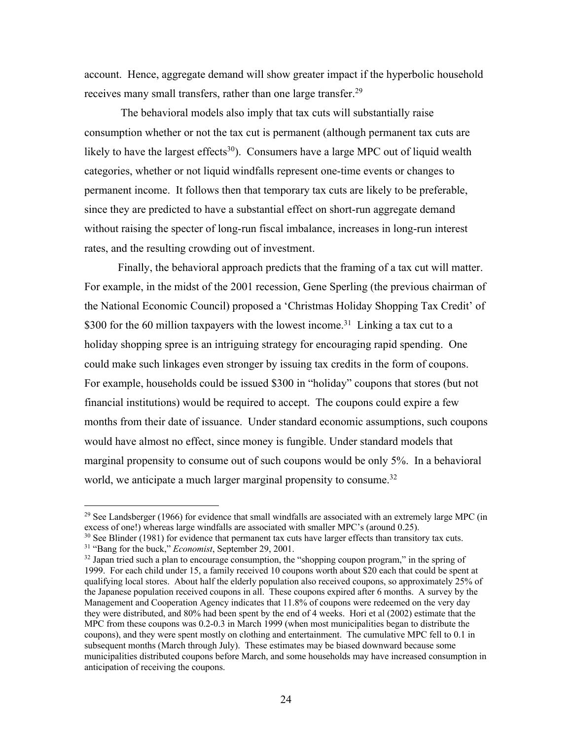account. Hence, aggregate demand will show greater impact if the hyperbolic household receives many small transfers, rather than one large transfer.<sup>29</sup>

The behavioral models also imply that tax cuts will substantially raise consumption whether or not the tax cut is permanent (although permanent tax cuts are likely to have the largest effects<sup>30</sup>). Consumers have a large MPC out of liquid wealth categories, whether or not liquid windfalls represent one-time events or changes to permanent income. It follows then that temporary tax cuts are likely to be preferable, since they are predicted to have a substantial effect on short-run aggregate demand without raising the specter of long-run fiscal imbalance, increases in long-run interest rates, and the resulting crowding out of investment.

Finally, the behavioral approach predicts that the framing of a tax cut will matter. For example, in the midst of the 2001 recession, Gene Sperling (the previous chairman of the National Economic Council) proposed a 'Christmas Holiday Shopping Tax Credit' of \$300 for the 60 million taxpayers with the lowest income.<sup>31</sup> Linking a tax cut to a holiday shopping spree is an intriguing strategy for encouraging rapid spending. One could make such linkages even stronger by issuing tax credits in the form of coupons. For example, households could be issued \$300 in "holiday" coupons that stores (but not financial institutions) would be required to accept. The coupons could expire a few months from their date of issuance. Under standard economic assumptions, such coupons would have almost no effect, since money is fungible. Under standard models that marginal propensity to consume out of such coupons would be only 5%. In a behavioral world, we anticipate a much larger marginal propensity to consume.<sup>32</sup>

<sup>&</sup>lt;sup>29</sup> See Landsberger (1966) for evidence that small windfalls are associated with an extremely large MPC (in excess of one!) whereas large windfalls are associated with smaller MPC's (around 0.25).

<sup>&</sup>lt;sup>30</sup> See Blinder (1981) for evidence that permanent tax cuts have larger effects than transitory tax cuts.<br><sup>31</sup> "Bang for the buck," *Economist*, September 29, 2001.<br><sup>32</sup> Japan tried such a plan to encourage consumption,

<sup>1999.</sup> For each child under 15, a family received 10 coupons worth about \$20 each that could be spent at qualifying local stores. About half the elderly population also received coupons, so approximately 25% of the Japanese population received coupons in all. These coupons expired after 6 months. A survey by the Management and Cooperation Agency indicates that 11.8% of coupons were redeemed on the very day they were distributed, and 80% had been spent by the end of 4 weeks. Hori et al (2002) estimate that the MPC from these coupons was 0.2-0.3 in March 1999 (when most municipalities began to distribute the coupons), and they were spent mostly on clothing and entertainment. The cumulative MPC fell to 0.1 in subsequent months (March through July). These estimates may be biased downward because some municipalities distributed coupons before March, and some households may have increased consumption in anticipation of receiving the coupons.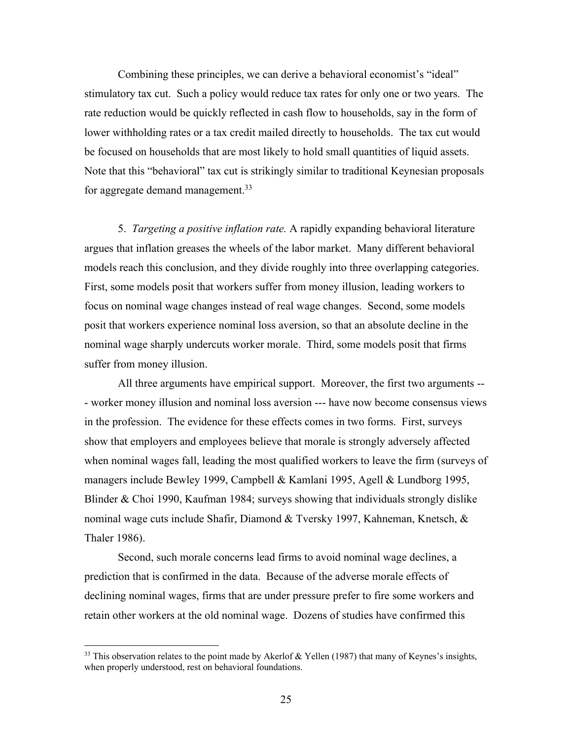Combining these principles, we can derive a behavioral economist's "ideal" stimulatory tax cut. Such a policy would reduce tax rates for only one or two years. The rate reduction would be quickly reflected in cash flow to households, say in the form of lower withholding rates or a tax credit mailed directly to households. The tax cut would be focused on households that are most likely to hold small quantities of liquid assets. Note that this "behavioral" tax cut is strikingly similar to traditional Keynesian proposals for aggregate demand management.<sup>33</sup>

5. *Targeting a positive inflation rate.* A rapidly expanding behavioral literature argues that inflation greases the wheels of the labor market. Many different behavioral models reach this conclusion, and they divide roughly into three overlapping categories. First, some models posit that workers suffer from money illusion, leading workers to focus on nominal wage changes instead of real wage changes. Second, some models posit that workers experience nominal loss aversion, so that an absolute decline in the nominal wage sharply undercuts worker morale. Third, some models posit that firms suffer from money illusion.

All three arguments have empirical support. Moreover, the first two arguments -- - worker money illusion and nominal loss aversion --- have now become consensus views in the profession. The evidence for these effects comes in two forms. First, surveys show that employers and employees believe that morale is strongly adversely affected when nominal wages fall, leading the most qualified workers to leave the firm (surveys of managers include Bewley 1999, Campbell & Kamlani 1995, Agell & Lundborg 1995, Blinder & Choi 1990, Kaufman 1984; surveys showing that individuals strongly dislike nominal wage cuts include Shafir, Diamond & Tversky 1997, Kahneman, Knetsch, & Thaler 1986).

Second, such morale concerns lead firms to avoid nominal wage declines, a prediction that is confirmed in the data. Because of the adverse morale effects of declining nominal wages, firms that are under pressure prefer to fire some workers and retain other workers at the old nominal wage. Dozens of studies have confirmed this

 $33$  This observation relates to the point made by Akerlof & Yellen (1987) that many of Keynes's insights, when properly understood, rest on behavioral foundations.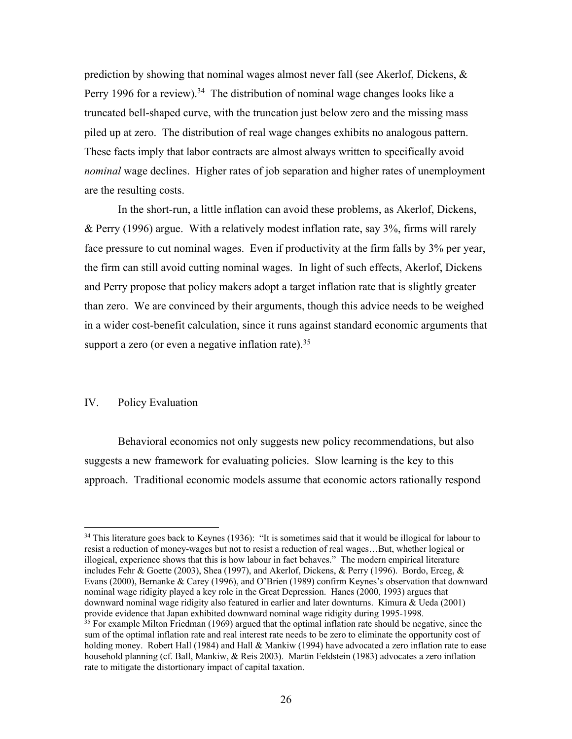prediction by showing that nominal wages almost never fall (see Akerlof, Dickens, & Perry 1996 for a review).<sup>34</sup> The distribution of nominal wage changes looks like a truncated bell-shaped curve, with the truncation just below zero and the missing mass piled up at zero. The distribution of real wage changes exhibits no analogous pattern. These facts imply that labor contracts are almost always written to specifically avoid *nominal* wage declines. Higher rates of job separation and higher rates of unemployment are the resulting costs.

In the short-run, a little inflation can avoid these problems, as Akerlof, Dickens, & Perry (1996) argue. With a relatively modest inflation rate, say 3%, firms will rarely face pressure to cut nominal wages. Even if productivity at the firm falls by 3% per year, the firm can still avoid cutting nominal wages. In light of such effects, Akerlof, Dickens and Perry propose that policy makers adopt a target inflation rate that is slightly greater than zero. We are convinced by their arguments, though this advice needs to be weighed in a wider cost-benefit calculation, since it runs against standard economic arguments that support a zero (or even a negative inflation rate).<sup>35</sup>

### IV. Policy Evaluation

Behavioral economics not only suggests new policy recommendations, but also suggests a new framework for evaluating policies. Slow learning is the key to this approach. Traditional economic models assume that economic actors rationally respond

<sup>&</sup>lt;sup>34</sup> This literature goes back to Keynes (1936): "It is sometimes said that it would be illogical for labour to resist a reduction of money-wages but not to resist a reduction of real wages…But, whether logical or illogical, experience shows that this is how labour in fact behaves." The modern empirical literature includes Fehr & Goette (2003), Shea (1997), and Akerlof, Dickens, & Perry (1996). Bordo, Erceg, & Evans (2000), Bernanke & Carey (1996), and O'Brien (1989) confirm Keynes's observation that downward nominal wage ridigity played a key role in the Great Depression. Hanes (2000, 1993) argues that downward nominal wage ridigity also featured in earlier and later downturns. Kimura & Ueda (2001) provide evidence that Japan exhibited downward nominal wage ridigity during 1995-1998. <sup>35</sup> For example Milton Friedman (1969) argued that the optimal inflation rate should be negative, since the sum of the optimal inflation rate and real interest rate needs to be zero to eliminate the opportunity cost of holding money. Robert Hall (1984) and Hall & Mankiw (1994) have advocated a zero inflation rate to ease household planning (cf. Ball, Mankiw, & Reis 2003). Martin Feldstein (1983) advocates a zero inflation rate to mitigate the distortionary impact of capital taxation.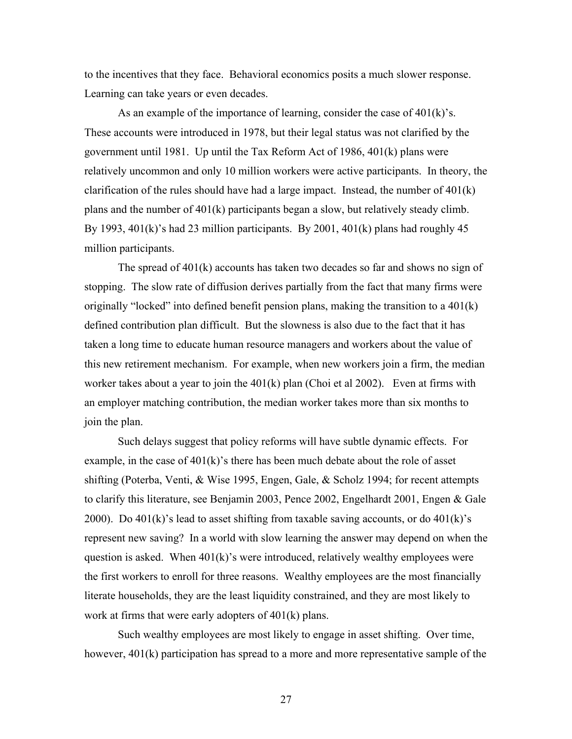to the incentives that they face. Behavioral economics posits a much slower response. Learning can take years or even decades.

As an example of the importance of learning, consider the case of 401(k)'s. These accounts were introduced in 1978, but their legal status was not clarified by the government until 1981. Up until the Tax Reform Act of 1986, 401(k) plans were relatively uncommon and only 10 million workers were active participants. In theory, the clarification of the rules should have had a large impact. Instead, the number of  $401(k)$ plans and the number of 401(k) participants began a slow, but relatively steady climb. By 1993,  $401(k)$ 's had 23 million participants. By 2001,  $401(k)$  plans had roughly 45 million participants.

The spread of 401(k) accounts has taken two decades so far and shows no sign of stopping. The slow rate of diffusion derives partially from the fact that many firms were originally "locked" into defined benefit pension plans, making the transition to a  $401(k)$ defined contribution plan difficult. But the slowness is also due to the fact that it has taken a long time to educate human resource managers and workers about the value of this new retirement mechanism. For example, when new workers join a firm, the median worker takes about a year to join the  $401(k)$  plan (Choi et al 2002). Even at firms with an employer matching contribution, the median worker takes more than six months to join the plan.

Such delays suggest that policy reforms will have subtle dynamic effects. For example, in the case of  $401(k)$ 's there has been much debate about the role of asset shifting (Poterba, Venti, & Wise 1995, Engen, Gale, & Scholz 1994; for recent attempts to clarify this literature, see Benjamin 2003, Pence 2002, Engelhardt 2001, Engen & Gale 2000). Do 401 $(k)$ 's lead to asset shifting from taxable saving accounts, or do 401 $(k)$ 's represent new saving? In a world with slow learning the answer may depend on when the question is asked. When  $401(k)$ 's were introduced, relatively wealthy employees were the first workers to enroll for three reasons. Wealthy employees are the most financially literate households, they are the least liquidity constrained, and they are most likely to work at firms that were early adopters of 401(k) plans.

Such wealthy employees are most likely to engage in asset shifting. Over time, however,  $401(k)$  participation has spread to a more and more representative sample of the

27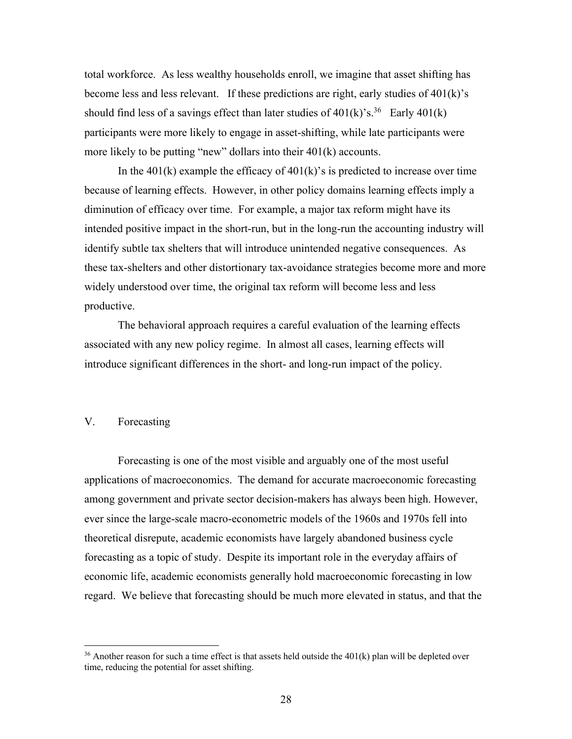total workforce. As less wealthy households enroll, we imagine that asset shifting has become less and less relevant. If these predictions are right, early studies of 401(k)'s should find less of a savings effect than later studies of  $401(k)$ 's.<sup>36</sup> Early  $401(k)$ participants were more likely to engage in asset-shifting, while late participants were more likely to be putting "new" dollars into their 401(k) accounts.

In the  $401(k)$  example the efficacy of  $401(k)$ 's is predicted to increase over time because of learning effects. However, in other policy domains learning effects imply a diminution of efficacy over time. For example, a major tax reform might have its intended positive impact in the short-run, but in the long-run the accounting industry will identify subtle tax shelters that will introduce unintended negative consequences. As these tax-shelters and other distortionary tax-avoidance strategies become more and more widely understood over time, the original tax reform will become less and less productive.

The behavioral approach requires a careful evaluation of the learning effects associated with any new policy regime. In almost all cases, learning effects will introduce significant differences in the short- and long-run impact of the policy.

### V. Forecasting

Forecasting is one of the most visible and arguably one of the most useful applications of macroeconomics. The demand for accurate macroeconomic forecasting among government and private sector decision-makers has always been high. However, ever since the large-scale macro-econometric models of the 1960s and 1970s fell into theoretical disrepute, academic economists have largely abandoned business cycle forecasting as a topic of study. Despite its important role in the everyday affairs of economic life, academic economists generally hold macroeconomic forecasting in low regard. We believe that forecasting should be much more elevated in status, and that the

 $36$  Another reason for such a time effect is that assets held outside the 401(k) plan will be depleted over time, reducing the potential for asset shifting.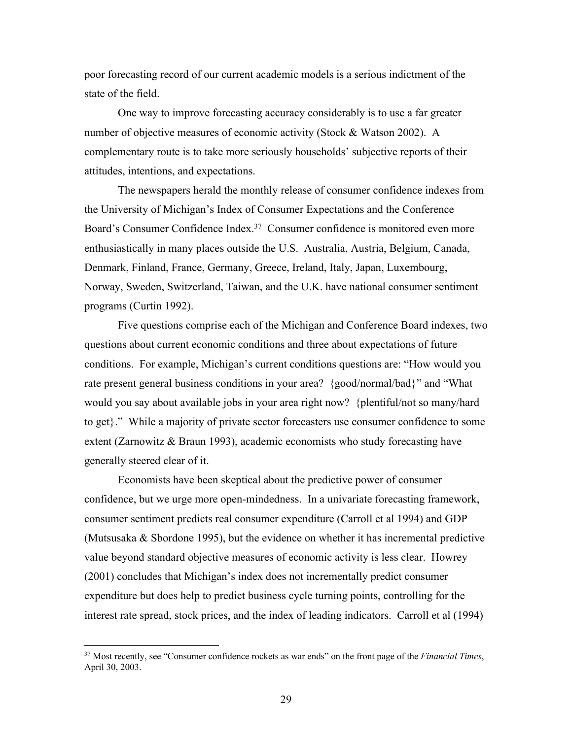poor forecasting record of our current academic models is a serious indictment of the state of the field.

One way to improve forecasting accuracy considerably is to use a far greater number of objective measures of economic activity (Stock & Watson 2002). A complementary route is to take more seriously households' subjective reports of their attitudes, intentions, and expectations.

The newspapers herald the monthly release of consumer confidence indexes from the University of Michigan's Index of Consumer Expectations and the Conference Board's Consumer Confidence Index.37 Consumer confidence is monitored even more enthusiastically in many places outside the U.S. Australia, Austria, Belgium, Canada, Denmark, Finland, France, Germany, Greece, Ireland, Italy, Japan, Luxembourg, Norway, Sweden, Switzerland, Taiwan, and the U.K. have national consumer sentiment programs (Curtin 1992).

Five questions comprise each of the Michigan and Conference Board indexes, two questions about current economic conditions and three about expectations of future conditions. For example, Michigan's current conditions questions are: "How would you rate present general business conditions in your area? {good/normal/bad}" and "What would you say about available jobs in your area right now? {plentiful/not so many/hard to get}." While a majority of private sector forecasters use consumer confidence to some extent (Zarnowitz & Braun 1993), academic economists who study forecasting have generally steered clear of it.

Economists have been skeptical about the predictive power of consumer confidence, but we urge more open-mindedness. In a univariate forecasting framework, consumer sentiment predicts real consumer expenditure (Carroll et al 1994) and GDP (Mutsusaka & Sbordone 1995), but the evidence on whether it has incremental predictive value beyond standard objective measures of economic activity is less clear. Howrey (2001) concludes that Michigan's index does not incrementally predict consumer expenditure but does help to predict business cycle turning points, controlling for the interest rate spread, stock prices, and the index of leading indicators. Carroll et al (1994)

<sup>37</sup> Most recently, see "Consumer confidence rockets as war ends" on the front page of the *Financial Times*, April 30, 2003.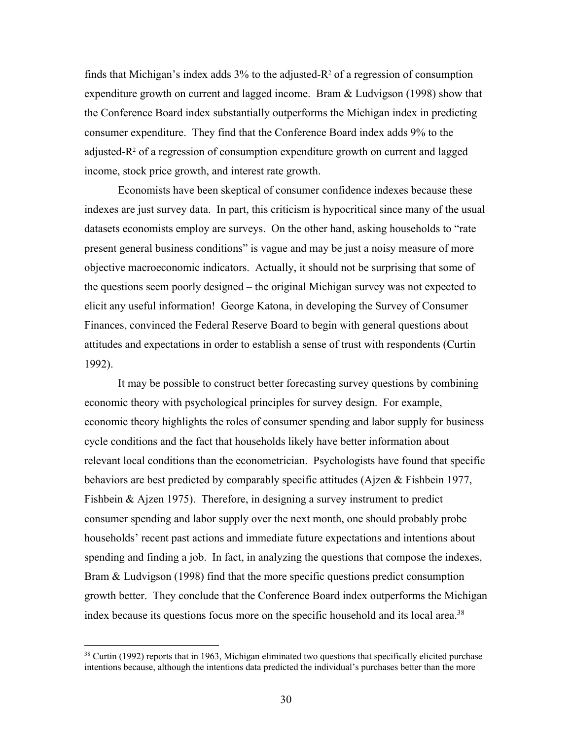finds that Michigan's index adds  $3\%$  to the adjusted- $R^2$  of a regression of consumption expenditure growth on current and lagged income. Bram & Ludvigson (1998) show that the Conference Board index substantially outperforms the Michigan index in predicting consumer expenditure. They find that the Conference Board index adds 9% to the adjusted- $R<sup>2</sup>$  of a regression of consumption expenditure growth on current and lagged income, stock price growth, and interest rate growth.

Economists have been skeptical of consumer confidence indexes because these indexes are just survey data. In part, this criticism is hypocritical since many of the usual datasets economists employ are surveys. On the other hand, asking households to "rate present general business conditions" is vague and may be just a noisy measure of more objective macroeconomic indicators. Actually, it should not be surprising that some of the questions seem poorly designed – the original Michigan survey was not expected to elicit any useful information! George Katona, in developing the Survey of Consumer Finances, convinced the Federal Reserve Board to begin with general questions about attitudes and expectations in order to establish a sense of trust with respondents (Curtin 1992).

It may be possible to construct better forecasting survey questions by combining economic theory with psychological principles for survey design. For example, economic theory highlights the roles of consumer spending and labor supply for business cycle conditions and the fact that households likely have better information about relevant local conditions than the econometrician. Psychologists have found that specific behaviors are best predicted by comparably specific attitudes (Ajzen & Fishbein 1977, Fishbein & Ajzen 1975). Therefore, in designing a survey instrument to predict consumer spending and labor supply over the next month, one should probably probe households' recent past actions and immediate future expectations and intentions about spending and finding a job. In fact, in analyzing the questions that compose the indexes, Bram & Ludvigson (1998) find that the more specific questions predict consumption growth better. They conclude that the Conference Board index outperforms the Michigan index because its questions focus more on the specific household and its local area.<sup>38</sup>

<sup>&</sup>lt;sup>38</sup> Curtin (1992) reports that in 1963, Michigan eliminated two questions that specifically elicited purchase intentions because, although the intentions data predicted the individual's purchases better than the more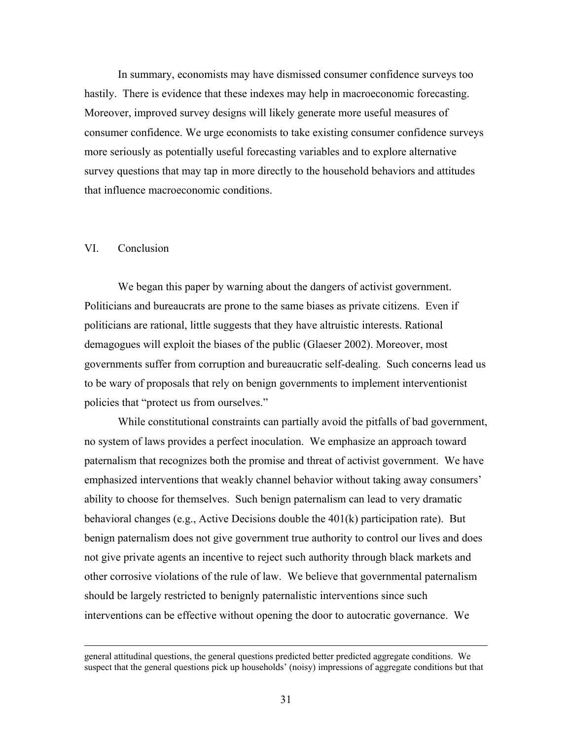In summary, economists may have dismissed consumer confidence surveys too hastily. There is evidence that these indexes may help in macroeconomic forecasting. Moreover, improved survey designs will likely generate more useful measures of consumer confidence. We urge economists to take existing consumer confidence surveys more seriously as potentially useful forecasting variables and to explore alternative survey questions that may tap in more directly to the household behaviors and attitudes that influence macroeconomic conditions.

#### VI. Conclusion

We began this paper by warning about the dangers of activist government. Politicians and bureaucrats are prone to the same biases as private citizens. Even if politicians are rational, little suggests that they have altruistic interests. Rational demagogues will exploit the biases of the public (Glaeser 2002). Moreover, most governments suffer from corruption and bureaucratic self-dealing. Such concerns lead us to be wary of proposals that rely on benign governments to implement interventionist policies that "protect us from ourselves."

While constitutional constraints can partially avoid the pitfalls of bad government, no system of laws provides a perfect inoculation. We emphasize an approach toward paternalism that recognizes both the promise and threat of activist government. We have emphasized interventions that weakly channel behavior without taking away consumers' ability to choose for themselves. Such benign paternalism can lead to very dramatic behavioral changes (e.g., Active Decisions double the 401(k) participation rate). But benign paternalism does not give government true authority to control our lives and does not give private agents an incentive to reject such authority through black markets and other corrosive violations of the rule of law. We believe that governmental paternalism should be largely restricted to benignly paternalistic interventions since such interventions can be effective without opening the door to autocratic governance. We

general attitudinal questions, the general questions predicted better predicted aggregate conditions. We suspect that the general questions pick up households' (noisy) impressions of aggregate conditions but that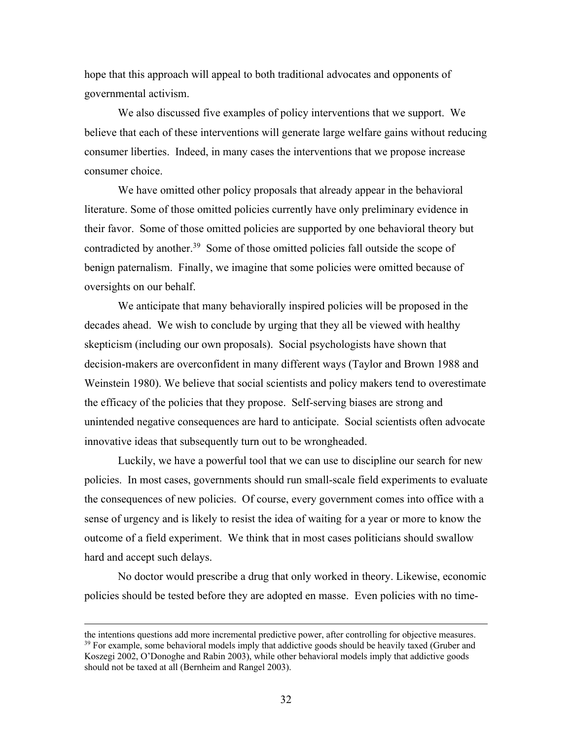hope that this approach will appeal to both traditional advocates and opponents of governmental activism.

We also discussed five examples of policy interventions that we support. We believe that each of these interventions will generate large welfare gains without reducing consumer liberties. Indeed, in many cases the interventions that we propose increase consumer choice.

We have omitted other policy proposals that already appear in the behavioral literature. Some of those omitted policies currently have only preliminary evidence in their favor. Some of those omitted policies are supported by one behavioral theory but contradicted by another.39 Some of those omitted policies fall outside the scope of benign paternalism. Finally, we imagine that some policies were omitted because of oversights on our behalf.

We anticipate that many behaviorally inspired policies will be proposed in the decades ahead. We wish to conclude by urging that they all be viewed with healthy skepticism (including our own proposals). Social psychologists have shown that decision-makers are overconfident in many different ways (Taylor and Brown 1988 and Weinstein 1980). We believe that social scientists and policy makers tend to overestimate the efficacy of the policies that they propose. Self-serving biases are strong and unintended negative consequences are hard to anticipate. Social scientists often advocate innovative ideas that subsequently turn out to be wrongheaded.

Luckily, we have a powerful tool that we can use to discipline our search for new policies. In most cases, governments should run small-scale field experiments to evaluate the consequences of new policies. Of course, every government comes into office with a sense of urgency and is likely to resist the idea of waiting for a year or more to know the outcome of a field experiment. We think that in most cases politicians should swallow hard and accept such delays.

No doctor would prescribe a drug that only worked in theory. Likewise, economic policies should be tested before they are adopted en masse. Even policies with no time-

the intentions questions add more incremental predictive power, after controlling for objective measures.  $39$  For example, some behavioral models imply that addictive goods should be heavily taxed (Gruber and Koszegi 2002, O'Donoghe and Rabin 2003), while other behavioral models imply that addictive goods should not be taxed at all (Bernheim and Rangel 2003).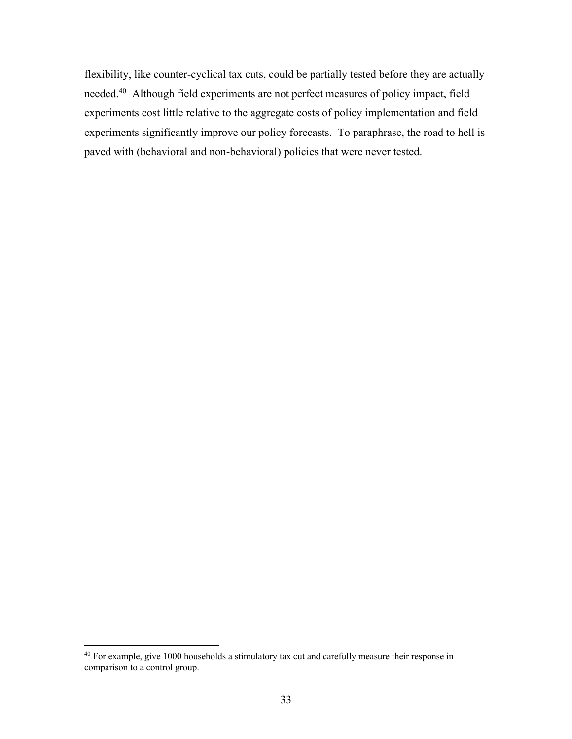flexibility, like counter-cyclical tax cuts, could be partially tested before they are actually needed.40 Although field experiments are not perfect measures of policy impact, field experiments cost little relative to the aggregate costs of policy implementation and field experiments significantly improve our policy forecasts. To paraphrase, the road to hell is paved with (behavioral and non-behavioral) policies that were never tested.

<sup>40</sup> For example, give 1000 households a stimulatory tax cut and carefully measure their response in comparison to a control group.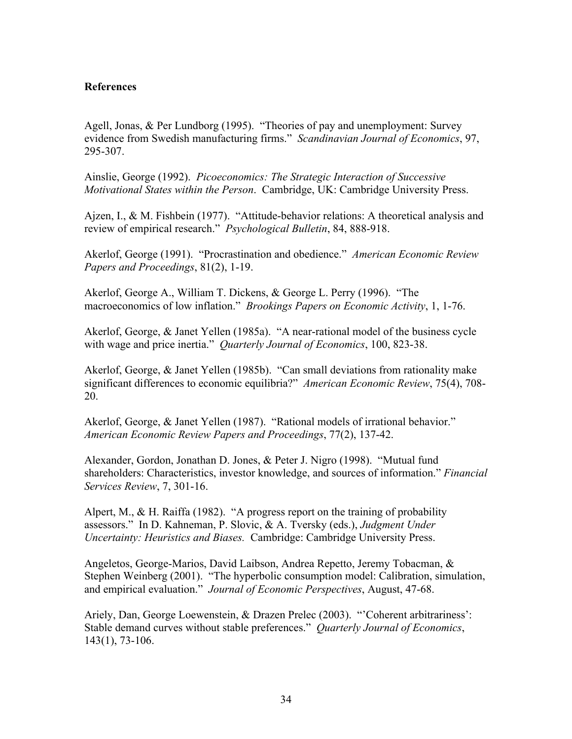### **References**

Agell, Jonas, & Per Lundborg (1995). "Theories of pay and unemployment: Survey evidence from Swedish manufacturing firms." *Scandinavian Journal of Economics*, 97, 295-307.

Ainslie, George (1992). *Picoeconomics: The Strategic Interaction of Successive Motivational States within the Person*. Cambridge, UK: Cambridge University Press.

Ajzen, I., & M. Fishbein (1977). "Attitude-behavior relations: A theoretical analysis and review of empirical research." *Psychological Bulletin*, 84, 888-918.

Akerlof, George (1991). "Procrastination and obedience." *American Economic Review Papers and Proceedings*, 81(2), 1-19.

Akerlof, George A., William T. Dickens, & George L. Perry (1996). "The macroeconomics of low inflation." *Brookings Papers on Economic Activity*, 1, 1-76.

Akerlof, George, & Janet Yellen (1985a). "A near-rational model of the business cycle with wage and price inertia." *Quarterly Journal of Economics*, 100, 823-38.

Akerlof, George, & Janet Yellen (1985b). "Can small deviations from rationality make significant differences to economic equilibria?" *American Economic Review*, 75(4), 708- 20.

Akerlof, George, & Janet Yellen (1987). "Rational models of irrational behavior." *American Economic Review Papers and Proceedings*, 77(2), 137-42.

Alexander, Gordon, Jonathan D. Jones, & Peter J. Nigro (1998). "Mutual fund shareholders: Characteristics, investor knowledge, and sources of information." *Financial Services Review*, 7, 301-16.

Alpert, M., & H. Raiffa (1982). "A progress report on the training of probability assessors." In D. Kahneman, P. Slovic, & A. Tversky (eds.), *Judgment Under Uncertainty: Heuristics and Biases.* Cambridge: Cambridge University Press.

Angeletos, George-Marios, David Laibson, Andrea Repetto, Jeremy Tobacman, & Stephen Weinberg (2001). "The hyperbolic consumption model: Calibration, simulation, and empirical evaluation." *Journal of Economic Perspectives*, August, 47-68.

Ariely, Dan, George Loewenstein, & Drazen Prelec (2003). "'Coherent arbitrariness': Stable demand curves without stable preferences." *Quarterly Journal of Economics*, 143(1), 73-106.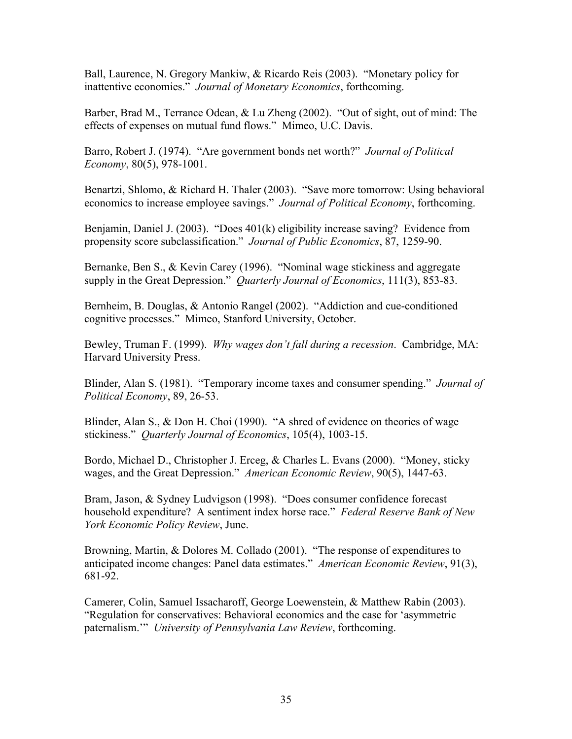Ball, Laurence, N. Gregory Mankiw, & Ricardo Reis (2003). "Monetary policy for inattentive economies." *Journal of Monetary Economics*, forthcoming.

Barber, Brad M., Terrance Odean, & Lu Zheng (2002). "Out of sight, out of mind: The effects of expenses on mutual fund flows." Mimeo, U.C. Davis.

Barro, Robert J. (1974). "Are government bonds net worth?" *Journal of Political Economy*, 80(5), 978-1001.

Benartzi, Shlomo, & Richard H. Thaler (2003). "Save more tomorrow: Using behavioral economics to increase employee savings." *Journal of Political Economy*, forthcoming.

Benjamin, Daniel J. (2003). "Does 401(k) eligibility increase saving? Evidence from propensity score subclassification." *Journal of Public Economics*, 87, 1259-90.

Bernanke, Ben S., & Kevin Carey (1996). "Nominal wage stickiness and aggregate supply in the Great Depression." *Quarterly Journal of Economics*, 111(3), 853-83.

Bernheim, B. Douglas, & Antonio Rangel (2002). "Addiction and cue-conditioned cognitive processes." Mimeo, Stanford University, October.

Bewley, Truman F. (1999). *Why wages don't fall during a recession*. Cambridge, MA: Harvard University Press.

Blinder, Alan S. (1981). "Temporary income taxes and consumer spending." *Journal of Political Economy*, 89, 26-53.

Blinder, Alan S., & Don H. Choi (1990). "A shred of evidence on theories of wage stickiness." *Quarterly Journal of Economics*, 105(4), 1003-15.

Bordo, Michael D., Christopher J. Erceg, & Charles L. Evans (2000). "Money, sticky wages, and the Great Depression." *American Economic Review*, 90(5), 1447-63.

Bram, Jason, & Sydney Ludvigson (1998). "Does consumer confidence forecast household expenditure? A sentiment index horse race." *Federal Reserve Bank of New York Economic Policy Review*, June.

Browning, Martin, & Dolores M. Collado (2001). "The response of expenditures to anticipated income changes: Panel data estimates." *American Economic Review*, 91(3), 681-92.

Camerer, Colin, Samuel Issacharoff, George Loewenstein, & Matthew Rabin (2003). "Regulation for conservatives: Behavioral economics and the case for 'asymmetric paternalism.'" *University of Pennsylvania Law Review*, forthcoming.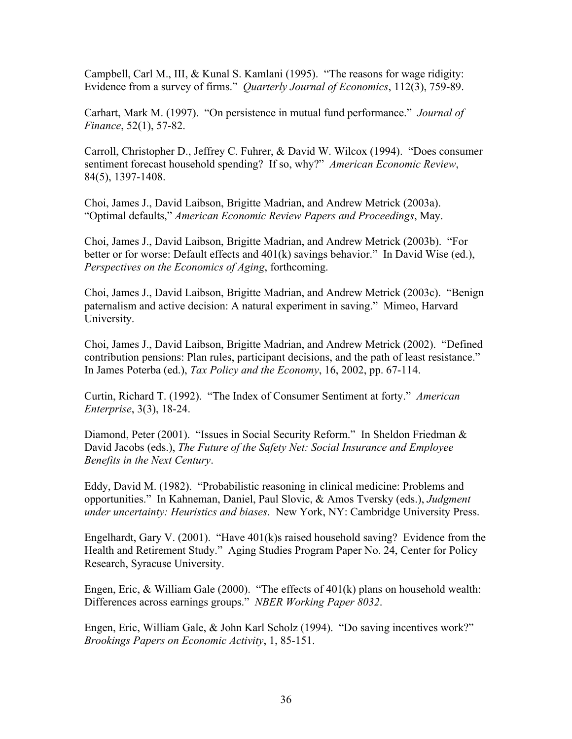Campbell, Carl M., III, & Kunal S. Kamlani (1995). "The reasons for wage ridigity: Evidence from a survey of firms." *Quarterly Journal of Economics*, 112(3), 759-89.

Carhart, Mark M. (1997). "On persistence in mutual fund performance." *Journal of Finance*, 52(1), 57-82.

Carroll, Christopher D., Jeffrey C. Fuhrer, & David W. Wilcox (1994). "Does consumer sentiment forecast household spending? If so, why?" *American Economic Review*, 84(5), 1397-1408.

Choi, James J., David Laibson, Brigitte Madrian, and Andrew Metrick (2003a). "Optimal defaults," *American Economic Review Papers and Proceedings*, May.

Choi, James J., David Laibson, Brigitte Madrian, and Andrew Metrick (2003b). "For better or for worse: Default effects and 401(k) savings behavior." In David Wise (ed.), *Perspectives on the Economics of Aging*, forthcoming.

Choi, James J., David Laibson, Brigitte Madrian, and Andrew Metrick (2003c). "Benign paternalism and active decision: A natural experiment in saving." Mimeo, Harvard University.

Choi, James J., David Laibson, Brigitte Madrian, and Andrew Metrick (2002). "Defined contribution pensions: Plan rules, participant decisions, and the path of least resistance." In James Poterba (ed.), *Tax Policy and the Economy*, 16, 2002, pp. 67-114.

Curtin, Richard T. (1992). "The Index of Consumer Sentiment at forty." *American Enterprise*, 3(3), 18-24.

Diamond, Peter (2001). "Issues in Social Security Reform." In Sheldon Friedman & David Jacobs (eds.), *The Future of the Safety Net: Social Insurance and Employee Benefits in the Next Century*.

Eddy, David M. (1982). "Probabilistic reasoning in clinical medicine: Problems and opportunities." In Kahneman, Daniel, Paul Slovic, & Amos Tversky (eds.), *Judgment under uncertainty: Heuristics and biases*. New York, NY: Cambridge University Press.

Engelhardt, Gary V. (2001). "Have 401(k)s raised household saving? Evidence from the Health and Retirement Study." Aging Studies Program Paper No. 24, Center for Policy Research, Syracuse University.

Engen, Eric, & William Gale (2000). "The effects of 401(k) plans on household wealth: Differences across earnings groups." *NBER Working Paper 8032*.

Engen, Eric, William Gale, & John Karl Scholz (1994). "Do saving incentives work?" *Brookings Papers on Economic Activity*, 1, 85-151.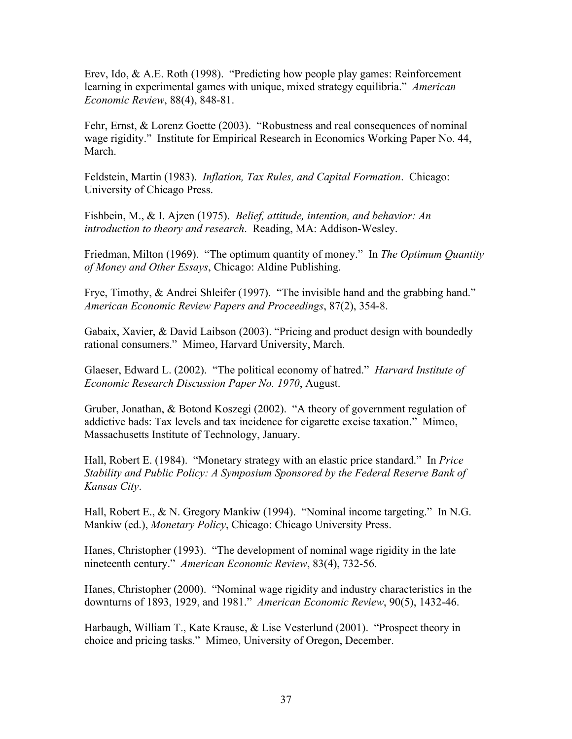Erev, Ido, & A.E. Roth (1998). "Predicting how people play games: Reinforcement learning in experimental games with unique, mixed strategy equilibria." *American Economic Review*, 88(4), 848-81.

Fehr, Ernst, & Lorenz Goette (2003). "Robustness and real consequences of nominal wage rigidity." Institute for Empirical Research in Economics Working Paper No. 44, March.

Feldstein, Martin (1983). *Inflation, Tax Rules, and Capital Formation*. Chicago: University of Chicago Press.

Fishbein, M., & I. Ajzen (1975). *Belief, attitude, intention, and behavior: An introduction to theory and research*. Reading, MA: Addison-Wesley.

Friedman, Milton (1969). "The optimum quantity of money." In *The Optimum Quantity of Money and Other Essays*, Chicago: Aldine Publishing.

Frye, Timothy, & Andrei Shleifer (1997). "The invisible hand and the grabbing hand." *American Economic Review Papers and Proceedings*, 87(2), 354-8.

Gabaix, Xavier, & David Laibson (2003). "Pricing and product design with boundedly rational consumers." Mimeo, Harvard University, March.

Glaeser, Edward L. (2002). "The political economy of hatred." *Harvard Institute of Economic Research Discussion Paper No. 1970*, August.

Gruber, Jonathan, & Botond Koszegi (2002). "A theory of government regulation of addictive bads: Tax levels and tax incidence for cigarette excise taxation." Mimeo, Massachusetts Institute of Technology, January.

Hall, Robert E. (1984). "Monetary strategy with an elastic price standard." In *Price Stability and Public Policy: A Symposium Sponsored by the Federal Reserve Bank of Kansas City*.

Hall, Robert E., & N. Gregory Mankiw (1994). "Nominal income targeting." In N.G. Mankiw (ed.), *Monetary Policy*, Chicago: Chicago University Press.

Hanes, Christopher (1993). "The development of nominal wage rigidity in the late nineteenth century." *American Economic Review*, 83(4), 732-56.

Hanes, Christopher (2000). "Nominal wage rigidity and industry characteristics in the downturns of 1893, 1929, and 1981." *American Economic Review*, 90(5), 1432-46.

Harbaugh, William T., Kate Krause, & Lise Vesterlund (2001). "Prospect theory in choice and pricing tasks." Mimeo, University of Oregon, December.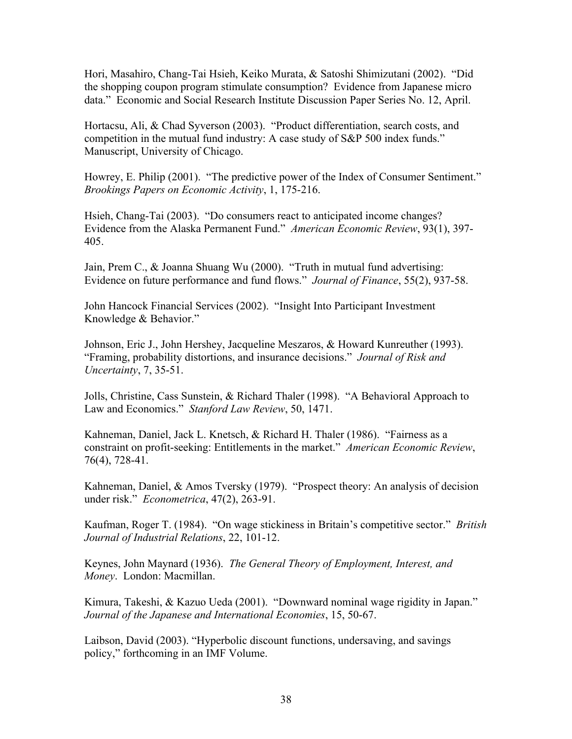Hori, Masahiro, Chang-Tai Hsieh, Keiko Murata, & Satoshi Shimizutani (2002). "Did the shopping coupon program stimulate consumption? Evidence from Japanese micro data." Economic and Social Research Institute Discussion Paper Series No. 12, April.

Hortacsu, Ali, & Chad Syverson (2003). "Product differentiation, search costs, and competition in the mutual fund industry: A case study of S&P 500 index funds." Manuscript, University of Chicago.

Howrey, E. Philip (2001). "The predictive power of the Index of Consumer Sentiment." *Brookings Papers on Economic Activity*, 1, 175-216.

Hsieh, Chang-Tai (2003). "Do consumers react to anticipated income changes? Evidence from the Alaska Permanent Fund." *American Economic Review*, 93(1), 397- 405.

Jain, Prem C., & Joanna Shuang Wu (2000). "Truth in mutual fund advertising: Evidence on future performance and fund flows." *Journal of Finance*, 55(2), 937-58.

John Hancock Financial Services (2002). "Insight Into Participant Investment Knowledge & Behavior."

Johnson, Eric J., John Hershey, Jacqueline Meszaros, & Howard Kunreuther (1993). "Framing, probability distortions, and insurance decisions." *Journal of Risk and Uncertainty*, 7, 35-51.

Jolls, Christine, Cass Sunstein, & Richard Thaler (1998). "A Behavioral Approach to Law and Economics." *Stanford Law Review*, 50, 1471.

Kahneman, Daniel, Jack L. Knetsch, & Richard H. Thaler (1986). "Fairness as a constraint on profit-seeking: Entitlements in the market." *American Economic Review*, 76(4), 728-41.

Kahneman, Daniel, & Amos Tversky (1979). "Prospect theory: An analysis of decision under risk." *Econometrica*, 47(2), 263-91.

Kaufman, Roger T. (1984). "On wage stickiness in Britain's competitive sector." *British Journal of Industrial Relations*, 22, 101-12.

Keynes, John Maynard (1936). *The General Theory of Employment, Interest, and Money*. London: Macmillan.

Kimura, Takeshi, & Kazuo Ueda (2001). "Downward nominal wage rigidity in Japan." *Journal of the Japanese and International Economies*, 15, 50-67.

Laibson, David (2003). "Hyperbolic discount functions, undersaving, and savings policy," forthcoming in an IMF Volume.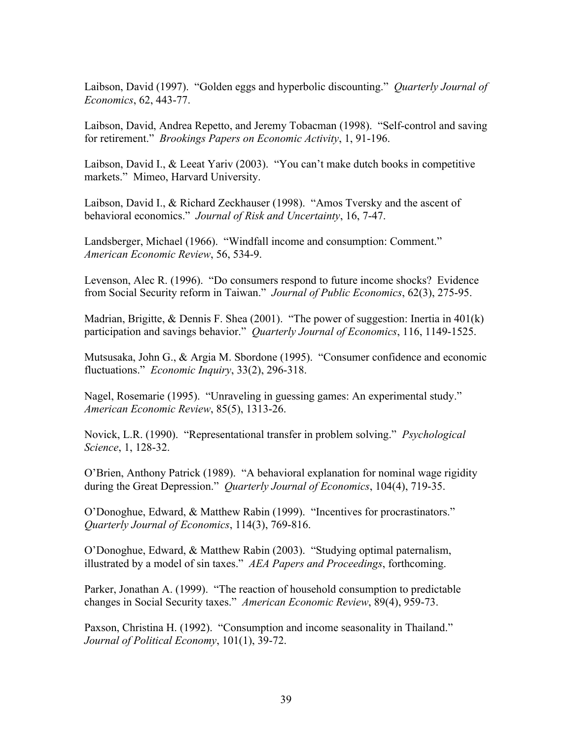Laibson, David (1997). "Golden eggs and hyperbolic discounting." *Quarterly Journal of Economics*, 62, 443-77.

Laibson, David, Andrea Repetto, and Jeremy Tobacman (1998). "Self-control and saving for retirement." *Brookings Papers on Economic Activity*, 1, 91-196.

Laibson, David I., & Leeat Yariv (2003). "You can't make dutch books in competitive markets." Mimeo, Harvard University.

Laibson, David I., & Richard Zeckhauser (1998). "Amos Tversky and the ascent of behavioral economics." *Journal of Risk and Uncertainty*, 16, 7-47.

Landsberger, Michael (1966). "Windfall income and consumption: Comment." *American Economic Review*, 56, 534-9.

Levenson, Alec R. (1996). "Do consumers respond to future income shocks? Evidence from Social Security reform in Taiwan." *Journal of Public Economics*, 62(3), 275-95.

Madrian, Brigitte, & Dennis F. Shea (2001). "The power of suggestion: Inertia in 401(k) participation and savings behavior." *Quarterly Journal of Economics*, 116, 1149-1525.

Mutsusaka, John G., & Argia M. Sbordone (1995). "Consumer confidence and economic fluctuations." *Economic Inquiry*, 33(2), 296-318.

Nagel, Rosemarie (1995). "Unraveling in guessing games: An experimental study." *American Economic Review*, 85(5), 1313-26.

Novick, L.R. (1990). "Representational transfer in problem solving." *Psychological Science*, 1, 128-32.

O'Brien, Anthony Patrick (1989). "A behavioral explanation for nominal wage rigidity during the Great Depression." *Quarterly Journal of Economics*, 104(4), 719-35.

O'Donoghue, Edward, & Matthew Rabin (1999). "Incentives for procrastinators." *Quarterly Journal of Economics*, 114(3), 769-816.

O'Donoghue, Edward, & Matthew Rabin (2003). "Studying optimal paternalism, illustrated by a model of sin taxes." *AEA Papers and Proceedings*, forthcoming.

Parker, Jonathan A. (1999). "The reaction of household consumption to predictable changes in Social Security taxes." *American Economic Review*, 89(4), 959-73.

Paxson, Christina H. (1992). "Consumption and income seasonality in Thailand." *Journal of Political Economy*, 101(1), 39-72.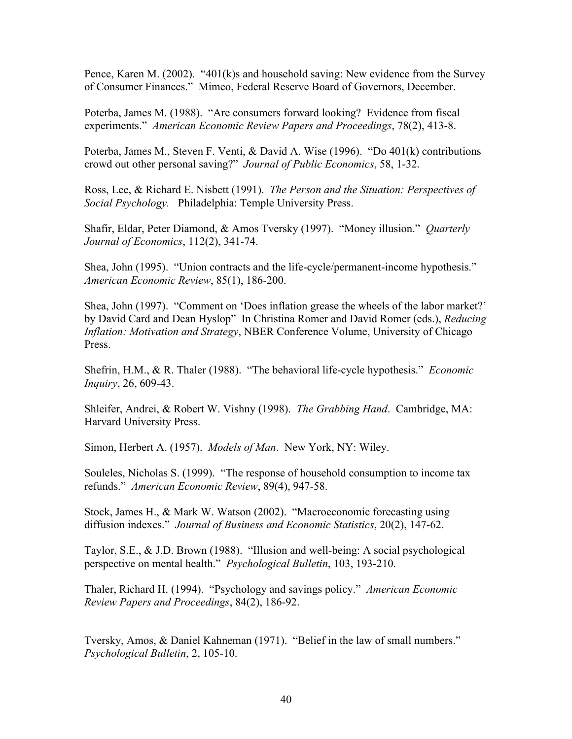Pence, Karen M. (2002). "401(k)s and household saving: New evidence from the Survey of Consumer Finances." Mimeo, Federal Reserve Board of Governors, December.

Poterba, James M. (1988). "Are consumers forward looking? Evidence from fiscal experiments." *American Economic Review Papers and Proceedings*, 78(2), 413-8.

Poterba, James M., Steven F. Venti, & David A. Wise (1996). "Do 401(k) contributions crowd out other personal saving?" *Journal of Public Economics*, 58, 1-32.

Ross, Lee, & Richard E. Nisbett (1991). *The Person and the Situation: Perspectives of Social Psychology.* Philadelphia: Temple University Press.

Shafir, Eldar, Peter Diamond, & Amos Tversky (1997). "Money illusion." *Quarterly Journal of Economics*, 112(2), 341-74.

Shea, John (1995). "Union contracts and the life-cycle/permanent-income hypothesis." *American Economic Review*, 85(1), 186-200.

Shea, John (1997). "Comment on 'Does inflation grease the wheels of the labor market?' by David Card and Dean Hyslop" In Christina Romer and David Romer (eds.), *Reducing Inflation: Motivation and Strategy*, NBER Conference Volume, University of Chicago Press.

Shefrin, H.M., & R. Thaler (1988). "The behavioral life-cycle hypothesis." *Economic Inquiry*, 26, 609-43.

Shleifer, Andrei, & Robert W. Vishny (1998). *The Grabbing Hand*. Cambridge, MA: Harvard University Press.

Simon, Herbert A. (1957). *Models of Man*. New York, NY: Wiley.

Souleles, Nicholas S. (1999). "The response of household consumption to income tax refunds." *American Economic Review*, 89(4), 947-58.

Stock, James H., & Mark W. Watson (2002). "Macroeconomic forecasting using diffusion indexes." *Journal of Business and Economic Statistics*, 20(2), 147-62.

Taylor, S.E., & J.D. Brown (1988). "Illusion and well-being: A social psychological perspective on mental health." *Psychological Bulletin*, 103, 193-210.

Thaler, Richard H. (1994). "Psychology and savings policy." *American Economic Review Papers and Proceedings*, 84(2), 186-92.

Tversky, Amos, & Daniel Kahneman (1971). "Belief in the law of small numbers." *Psychological Bulletin*, 2, 105-10.